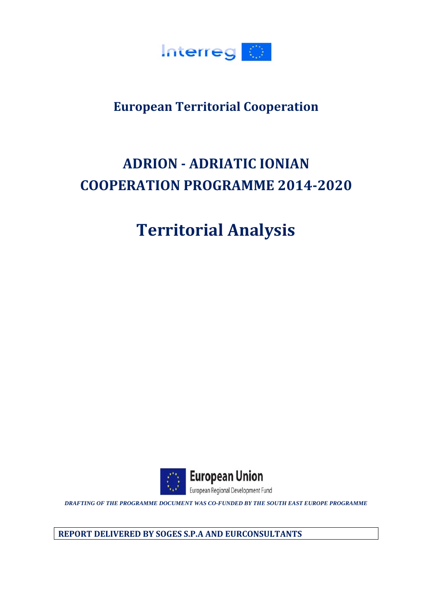

### **European Territorial Cooperation**

## **ADRION - ADRIATIC IONIAN COOPERATION PROGRAMME 2014-2020**

# **Territorial Analysis**



DRAFTING OF THE PROGRAMME DOCUMENT WAS CO-FUNDED BY THE SOUTH EAST EUROPE PROGRAMME

**REPORT DELIVERED BY SOGES S.P.A AND EURCONSULTANTS**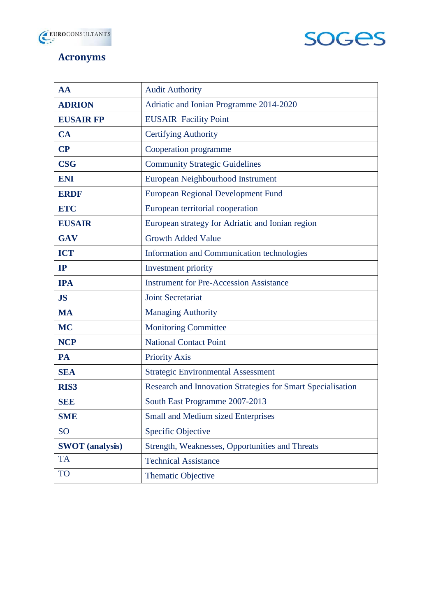



### **Acronyms**

| AA                     | <b>Audit Authority</b>                                      |
|------------------------|-------------------------------------------------------------|
| <b>ADRION</b>          | Adriatic and Ionian Programme 2014-2020                     |
| <b>EUSAIR FP</b>       | <b>EUSAIR Facility Point</b>                                |
| CA                     | <b>Certifying Authority</b>                                 |
| $\bf CP$               | Cooperation programme                                       |
| <b>CSG</b>             | <b>Community Strategic Guidelines</b>                       |
| <b>ENI</b>             | European Neighbourhood Instrument                           |
| <b>ERDF</b>            | European Regional Development Fund                          |
| <b>ETC</b>             | European territorial cooperation                            |
| <b>EUSAIR</b>          | European strategy for Adriatic and Ionian region            |
| <b>GAV</b>             | <b>Growth Added Value</b>                                   |
| <b>ICT</b>             | Information and Communication technologies                  |
| IP                     | Investment priority                                         |
| <b>IPA</b>             | <b>Instrument for Pre-Accession Assistance</b>              |
| <b>JS</b>              | <b>Joint Secretariat</b>                                    |
| <b>MA</b>              | <b>Managing Authority</b>                                   |
| <b>MC</b>              | <b>Monitoring Committee</b>                                 |
| <b>NCP</b>             | <b>National Contact Point</b>                               |
| PA                     | <b>Priority Axis</b>                                        |
| <b>SEA</b>             | <b>Strategic Environmental Assessment</b>                   |
| <b>RIS3</b>            | Research and Innovation Strategies for Smart Specialisation |
| <b>SEE</b>             | South East Programme 2007-2013                              |
| <b>SME</b>             | <b>Small and Medium sized Enterprises</b>                   |
| <b>SO</b>              | <b>Specific Objective</b>                                   |
| <b>SWOT</b> (analysis) | Strength, Weaknesses, Opportunities and Threats             |
| <b>TA</b>              | <b>Technical Assistance</b>                                 |
| <b>TO</b>              | <b>Thematic Objective</b>                                   |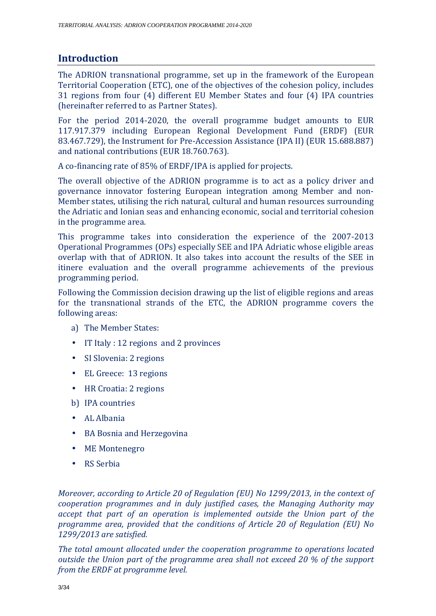### **Introduction**

The ADRION transnational programme, set up in the framework of the European Territorial Cooperation (ETC), one of the objectives of the cohesion policy, includes 31 regions from four (4) different EU Member States and four (4) IPA countries (hereinafter referred to as Partner States).

For the period 2014-2020, the overall programme budget amounts to EUR 117.917.379 including European Regional Development Fund (ERDF) (EUR 83.467.729), the Instrument for Pre-Accession Assistance (IPA II) (EUR 15.688.887) and national contributions (EUR 18.760.763).

A co-financing rate of 85% of ERDF/IPA is applied for projects.

The overall objective of the ADRION programme is to act as a policy driver and governance innovator fostering European integration among Member and non-Member states, utilising the rich natural, cultural and human resources surrounding the Adriatic and Ionian seas and enhancing economic, social and territorial cohesion in the programme area.

This programme takes into consideration the experience of the 2007-2013 Operational Programmes (OPs) especially SEE and IPA Adriatic whose eligible areas overlap with that of ADRION. It also takes into account the results of the SEE in itinere evaluation and the overall programme achievements of the previous programming period.

Following the Commission decision drawing up the list of eligible regions and areas for the transnational strands of the ETC, the ADRION programme covers the following areas:

- a) The Member States:
- IT Italy : 12 regions and 2 provinces
- SI Slovenia: 2 regions
- EL Greece: 13 regions
- HR Croatia: 2 regions
- b) IPA countries
- AL Albania
- BA Bosnia and Herzegovina
- ME Montenegro
- RS Serbia

*Moreover, according to Article 20 of Regulation (EU) No 1299/2013, in the context of cooperation programmes and in duly justified cases, the Managing Authority may accept that part of an operation is implemented outside the Union part of the programme area, provided that the conditions of Article 20 of Regulation (EU) No 1299/2013 are satisfied.* 

*The total amount allocated under the cooperation programme to operations located outside the Union part of the programme area shall not exceed 20 % of the support from the ERDF at programme level.*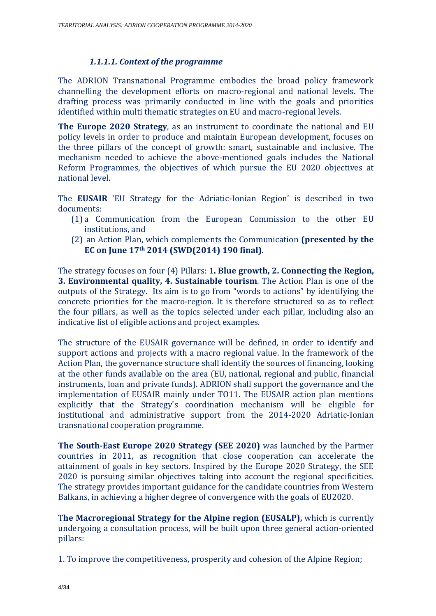#### *1.1.1.1. Context of the programme*

The ADRION Transnational Programme embodies the broad policy framework channelling the development efforts on macro-regional and national levels. The drafting process was primarily conducted in line with the goals and priorities identified within multi thematic strategies on EU and macro-regional levels.

**The Europe 2020 Strategy**, as an instrument to coordinate the national and EU policy levels in order to produce and maintain European development, focuses on the three pillars of the concept of growth: smart, sustainable and inclusive. The mechanism needed to achieve the above-mentioned goals includes the National Reform Programmes, the objectives of which pursue the EU 2020 objectives at national level.

The **EUSAIR** 'EU Strategy for the Adriatic-Ionian Region' is described in two documents:

- (1) a Communication from the European Commission to the other EU institutions, and
- (2) an Action Plan, which complements the Communication **(presented by the EC on June 17th 2014 (SWD(2014) 190 final)**.

The strategy focuses on four (4) Pillars: 1**. Blue growth, 2. Connecting the Region, 3. Environmental quality, 4. Sustainable tourism**. The Action Plan is one of the outputs of the Strategy. Its aim is to go from "words to actions" by identifying the concrete priorities for the macro-region. It is therefore structured so as to reflect the four pillars, as well as the topics selected under each pillar, including also an indicative list of eligible actions and project examples.

The structure of the EUSAIR governance will be defined, in order to identify and support actions and projects with a macro regional value. In the framework of the Action Plan, the governance structure shall identify the sources of financing, looking at the other funds available on the area (EU, national, regional and public, financial instruments, loan and private funds). ADRION shall support the governance and the implementation of EUSAIR mainly under TO11. The EUSAIR action plan mentions explicitly that the Strategy's coordination mechanism will be eligible for institutional and administrative support from the 2014-2020 Adriatic-Ionian transnational cooperation programme.

**The South-East Europe 2020 Strategy (SEE 2020)** was launched by the Partner countries in 2011, as recognition that close cooperation can accelerate the attainment of goals in key sectors. Inspired by the Europe 2020 Strategy, the SEE 2020 is pursuing similar objectives taking into account the regional specificities. The strategy provides important guidance for the candidate countries from Western Balkans, in achieving a higher degree of convergence with the goals of EU2020.

T**he Macroregional Strategy for the Alpine region (EUSALP),** which is currently undergoing a consultation process, will be built upon three general action-oriented pillars:

1. To improve the competitiveness, prosperity and cohesion of the Alpine Region;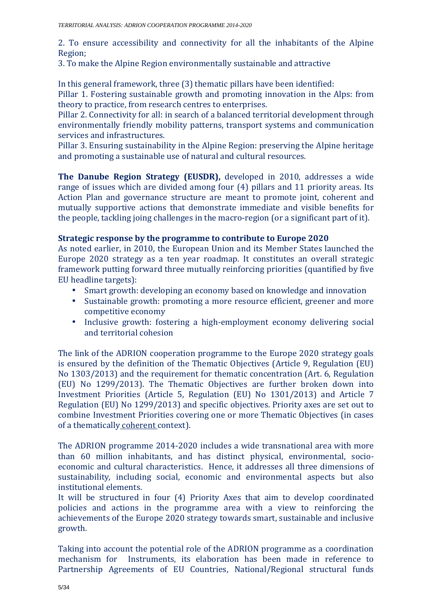2. To ensure accessibility and connectivity for all the inhabitants of the Alpine Region;

3. To make the Alpine Region environmentally sustainable and attractive

In this general framework, three (3) thematic pillars have been identified:

Pillar 1. Fostering sustainable growth and promoting innovation in the Alps: from theory to practice, from research centres to enterprises.

Pillar 2. Connectivity for all: in search of a balanced territorial development through environmentally friendly mobility patterns, transport systems and communication services and infrastructures.

Pillar 3. Ensuring sustainability in the Alpine Region: preserving the Alpine heritage and promoting a sustainable use of natural and cultural resources.

**The Danube Region Strategy (EUSDR),** developed in 2010, addresses a wide range of issues which are divided among four (4) pillars and 11 priority areas. Its Action Plan and governance structure are meant to promote joint, coherent and mutually supportive actions that demonstrate immediate and visible benefits for the people, tackling joing challenges in the macro-region (or a significant part of it).

#### **Strategic response by the programme to contribute to Europe 2020**

As noted earlier, in 2010, the European Union and its Member States launched the Europe 2020 strategy as a ten year roadmap. It constitutes an overall strategic framework putting forward three mutually reinforcing priorities (quantified by five EU headline targets):

- Smart growth: developing an economy based on knowledge and innovation
- Sustainable growth: promoting a more resource efficient, greener and more competitive economy
- Inclusive growth: fostering a high-employment economy delivering social and territorial cohesion

The link of the ADRION cooperation programme to the Europe 2020 strategy goals is ensured by the definition of the Thematic Objectives (Article 9, Regulation (EU) No 1303/2013) and the requirement for thematic concentration (Art. 6, Regulation (EU) No 1299/2013). The Thematic Objectives are further broken down into Investment Priorities (Article 5, Regulation (EU) No 1301/2013) and Article 7 Regulation (EU) No 1299/2013) and specific objectives. Priority axes are set out to combine Investment Priorities covering one or more Thematic Objectives (in cases of a thematically coherent context).

The ADRION programme 2014-2020 includes a wide transnational area with more than 60 million inhabitants, and has distinct physical, environmental, socioeconomic and cultural characteristics. Hence, it addresses all three dimensions of sustainability, including social, economic and environmental aspects but also institutional elements.

It will be structured in four (4) Priority Axes that aim to develop coordinated policies and actions in the programme area with a view to reinforcing the achievements of the Europe 2020 strategy towards smart, sustainable and inclusive growth.

Taking into account the potential role of the ADRION programme as a coordination mechanism for Instruments, its elaboration has been made in reference to Partnership Agreements of EU Countries, National/Regional structural funds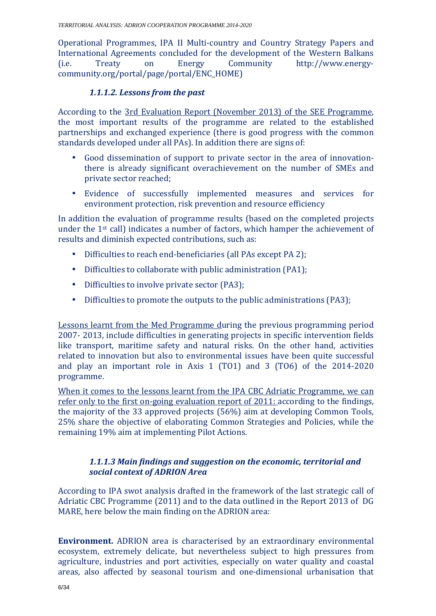Operational Programmes, IPA II Multi-country and Country Strategy Papers and International Agreements concluded for the development of the Western Balkans (i.e. Treaty on Energy Community http://www.energycommunity.org/portal/page/portal/ENC\_HOME)

#### *1.1.1.2. Lessons from the past*

According to the 3rd Evaluation Report (November 2013) of the SEE Programme, the most important results of the programme are related to the established partnerships and exchanged experience (there is good progress with the common standards developed under all PAs). In addition there are signs of:

- Good dissemination of support to private sector in the area of innovationthere is already significant overachievement on the number of SMEs and private sector reached;
- Evidence of successfully implemented measures and services for environment protection, risk prevention and resource efficiency

In addition the evaluation of programme results (based on the completed projects under the 1st call) indicates a number of factors, which hamper the achievement of results and diminish expected contributions, such as:

- Difficulties to reach end-beneficiaries (all PAs except PA 2);
- Difficulties to collaborate with public administration (PA1);
- Difficulties to involve private sector (PA3):
- Difficulties to promote the outputs to the public administrations (PA3);

Lessons learnt from the Med Programme during the previous programming period 2007- 2013, include difficulties in generating projects in specific intervention fields like transport, maritime safety and natural risks. On the other hand, activities related to innovation but also to environmental issues have been quite successful and play an important role in Axis 1 (TO1) and 3 (TO6) of the 2014-2020 programme.

When it comes to the lessons learnt from the IPA CBC Adriatic Programme, we can refer only to the first on-going evaluation report of 2011: according to the findings, the majority of the 33 approved projects (56%) aim at developing Common Tools, 25% share the objective of elaborating Common Strategies and Policies, while the remaining 19% aim at implementing Pilot Actions.

#### *1.1.1.3 Main findings and suggestion on the economic, territorial and social context of ADRION Area*

According to IPA swot analysis drafted in the framework of the last strategic call of Adriatic CBC Programme (2011) and to the data outlined in the Report 2013 of DG MARE, here below the main finding on the ADRION area:

**Environment.** ADRION area is characterised by an extraordinary environmental ecosystem, extremely delicate, but nevertheless subject to high pressures from agriculture, industries and port activities, especially on water quality and coastal areas, also affected by seasonal tourism and one-dimensional urbanisation that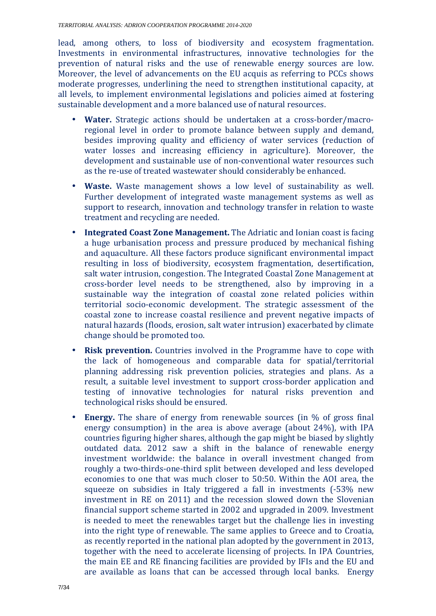lead, among others, to loss of biodiversity and ecosystem fragmentation. Investments in environmental infrastructures, innovative technologies for the prevention of natural risks and the use of renewable energy sources are low. Moreover, the level of advancements on the EU acquis as referring to PCCs shows moderate progresses, underlining the need to strengthen institutional capacity, at all levels, to implement environmental legislations and policies aimed at fostering sustainable development and a more balanced use of natural resources.

- **Water.** Strategic actions should be undertaken at a cross-border/macroregional level in order to promote balance between supply and demand, besides improving quality and efficiency of water services (reduction of water losses and increasing efficiency in agriculture). Moreover, the development and sustainable use of non-conventional water resources such as the re-use of treated wastewater should considerably be enhanced.
- **Waste.** Waste management shows a low level of sustainability as well. Further development of integrated waste management systems as well as support to research, innovation and technology transfer in relation to waste treatment and recycling are needed.
- **Integrated Coast Zone Management.** The Adriatic and Ionian coast is facing a huge urbanisation process and pressure produced by mechanical fishing and aquaculture. All these factors produce significant environmental impact resulting in loss of biodiversity, ecosystem fragmentation, desertification, salt water intrusion, congestion. The Integrated Coastal Zone Management at cross-border level needs to be strengthened, also by improving in a sustainable way the integration of coastal zone related policies within territorial socio-economic development. The strategic assessment of the coastal zone to increase coastal resilience and prevent negative impacts of natural hazards (floods, erosion, salt water intrusion) exacerbated by climate change should be promoted too.
- **Risk prevention.** Countries involved in the Programme have to cope with the lack of homogeneous and comparable data for spatial/territorial planning addressing risk prevention policies, strategies and plans. As a result, a suitable level investment to support cross-border application and testing of innovative technologies for natural risks prevention and technological risks should be ensured.
- **Energy.** The share of energy from renewable sources (in % of gross final energy consumption) in the area is above average (about 24%), with IPA countries figuring higher shares, although the gap might be biased by slightly outdated data. 2012 saw a shift in the balance of renewable energy investment worldwide: the balance in overall investment changed from roughly a two-thirds-one-third split between developed and less developed economies to one that was much closer to 50:50. Within the AOI area, the squeeze on subsidies in Italy triggered a fall in investments (-53% new investment in RE on 2011) and the recession slowed down the Slovenian financial support scheme started in 2002 and upgraded in 2009. Investment is needed to meet the renewables target but the challenge lies in investing into the right type of renewable. The same applies to Greece and to Croatia, as recently reported in the national plan adopted by the government in 2013, together with the need to accelerate licensing of projects. In IPA Countries, the main EE and RE financing facilities are provided by IFIs and the EU and are available as loans that can be accessed through local banks. Energy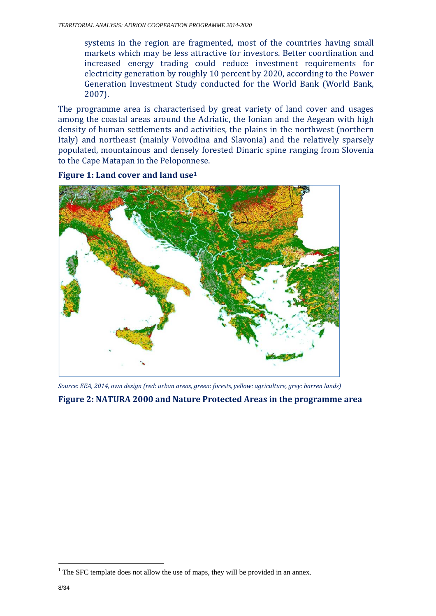systems in the region are fragmented, most of the countries having small markets which may be less attractive for investors. Better coordination and increased energy trading could reduce investment requirements for electricity generation by roughly 10 percent by 2020, according to the Power Generation Investment Study conducted for the World Bank (World Bank, 2007).

The programme area is characterised by great variety of land cover and usages among the coastal areas around the Adriatic, the Ionian and the Aegean with high density of human settlements and activities, the plains in the northwest (northern Italy) and northeast (mainly Voivodina and Slavonia) and the relatively sparsely populated, mountainous and densely forested Dinaric spine ranging from Slovenia to the Cape Matapan in the Peloponnese.





*Source: EEA, 2014, own design (red: urban areas, green: forests, yellow: agriculture, grey: barren lands)* 

**Figure 2: NATURA 2000 and Nature Protected Areas in the programme area** 

 $\overline{a}$ 

 $<sup>1</sup>$  The SFC template does not allow the use of maps, they will be provided in an annex.</sup>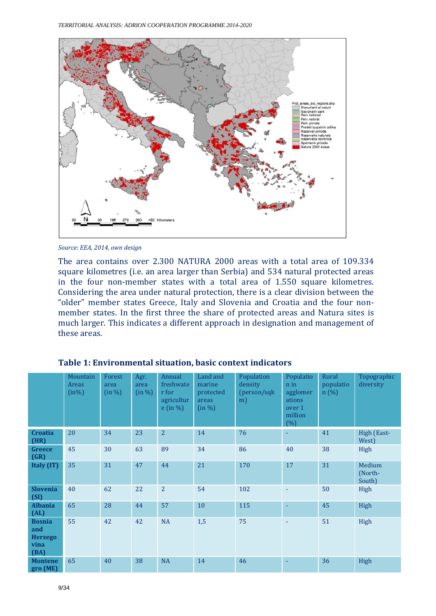

*Source: EEA, 2014, own design* 

The area contains over 2.300 NATURA 2000 areas with a total area of 109.334 square kilometres (i.e. an area larger than Serbia) and 534 natural protected areas in the four non-member states with a total area of 1.550 square kilometres. Considering the area under natural protection, there is a clear division between the "older" member states Greece, Italy and Slovenia and Croatia and the four nonmember states. In the first three the share of protected areas and Natura sites is much larger. This indicates a different approach in designation and management of these areas.

|                                                        | Mountain<br>Areas<br>$(in\%)$ | Forest<br>area<br>(in %) | Agr.<br>area<br>(in %) | Annual<br>freshwate<br>r for<br>agricultur<br>$e$ (in %) | Land and<br>marine<br>protected<br>areas<br>(in %) | Population<br>density<br>(person/sqk<br>m) | Populatio<br>n in<br>agglomer<br>ations<br>over 1<br>million<br>(%) | Rural<br>populatio<br>n(%) | Topographic<br>diversity    |
|--------------------------------------------------------|-------------------------------|--------------------------|------------------------|----------------------------------------------------------|----------------------------------------------------|--------------------------------------------|---------------------------------------------------------------------|----------------------------|-----------------------------|
| <b>Croatia</b><br>(HR)                                 | 20                            | 34                       | 23                     | $\overline{2}$                                           | 14                                                 | 76                                         | ÷.                                                                  | 41                         | High (East-<br>West)        |
| <b>Greece</b><br>(GR)                                  | 45                            | 30                       | 63                     | 89                                                       | 34                                                 | 86                                         | 40                                                                  | 38                         | High                        |
| Italy (IT)                                             | 35                            | 31                       | 47                     | 44                                                       | 21                                                 | 170                                        | 17                                                                  | 31                         | Medium<br>(North-<br>South) |
| <b>Slovenia</b><br>(SI)                                | 40                            | 62                       | 22                     | $\overline{2}$                                           | 54                                                 | 102                                        | ÷                                                                   | 50                         | High                        |
| <b>Albania</b><br>(AL)                                 | 65                            | 28                       | 44                     | 57                                                       | 10                                                 | 115                                        | ÷                                                                   | 45                         | High                        |
| <b>Bosnia</b><br>and<br><b>Herzego</b><br>vina<br>(BA) | 55                            | 42                       | 42                     | <b>NA</b>                                                | 1,5                                                | 75                                         | ÷                                                                   | 51                         | High                        |
| <b>Montene</b><br>gro (ME)                             | 65                            | 40                       | 38                     | NA                                                       | 14                                                 | 46                                         | ÷                                                                   | 36                         | High                        |

#### **Table 1: Environmental situation, basic context indicators**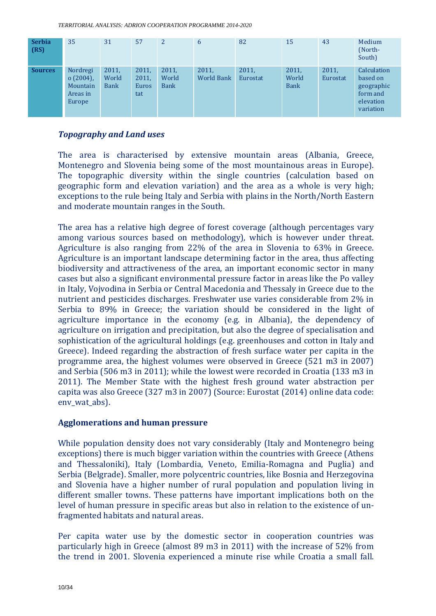| <b>Serbia</b><br>(RS) | 35                                                        | 31                            | 57                             | $\overline{2}$                | 6                          | 82                | 15                            | 43                | Medium<br>(North-<br>South)                                                 |
|-----------------------|-----------------------------------------------------------|-------------------------------|--------------------------------|-------------------------------|----------------------------|-------------------|-------------------------------|-------------------|-----------------------------------------------------------------------------|
| <b>Sources</b>        | Nordregi<br>$o(2004)$ ,<br>Mountain<br>Areas in<br>Europe | 2011.<br>World<br><b>Bank</b> | 2011.<br>2011,<br>Euros<br>tat | 2011,<br>World<br><b>Bank</b> | 2011,<br><b>World Bank</b> | 2011.<br>Eurostat | 2011,<br>World<br><b>Bank</b> | 2011.<br>Eurostat | Calculation<br>based on<br>geographic<br>form and<br>elevation<br>variation |

#### *Topography and Land uses*

The area is characterised by extensive mountain areas (Albania, Greece, Montenegro and Slovenia being some of the most mountainous areas in Europe). The topographic diversity within the single countries (calculation based on geographic form and elevation variation) and the area as a whole is very high; exceptions to the rule being Italy and Serbia with plains in the North/North Eastern and moderate mountain ranges in the South.

The area has a relative high degree of forest coverage (although percentages vary among various sources based on methodology), which is however under threat. Agriculture is also ranging from 22% of the area in Slovenia to 63% in Greece. Agriculture is an important landscape determining factor in the area, thus affecting biodiversity and attractiveness of the area, an important economic sector in many cases but also a significant environmental pressure factor in areas like the Po valley in Italy, Vojvodina in Serbia or Central Macedonia and Thessaly in Greece due to the nutrient and pesticides discharges. Freshwater use varies considerable from 2% in Serbia to 89% in Greece; the variation should be considered in the light of agriculture importance in the economy (e.g. in Albania), the dependency of agriculture on irrigation and precipitation, but also the degree of specialisation and sophistication of the agricultural holdings (e.g. greenhouses and cotton in Italy and Greece). Indeed regarding the abstraction of fresh surface water per capita in the programme area, the highest volumes were observed in Greece (521 m3 in 2007) and Serbia (506 m3 in 2011); while the lowest were recorded in Croatia (133 m3 in 2011). The Member State with the highest fresh ground water abstraction per capita was also Greece (327 m3 in 2007) (Source: Eurostat (2014) online data code: env wat abs).

#### **Agglomerations and human pressure**

While population density does not vary considerably (Italy and Montenegro being exceptions) there is much bigger variation within the countries with Greece (Athens and Thessaloniki), Italy (Lombardia, Veneto, Emilia-Romagna and Puglia) and Serbia (Belgrade). Smaller, more polycentric countries, like Bosnia and Herzegovina and Slovenia have a higher number of rural population and population living in different smaller towns. These patterns have important implications both on the level of human pressure in specific areas but also in relation to the existence of unfragmented habitats and natural areas.

Per capita water use by the domestic sector in cooperation countries was particularly high in Greece (almost 89 m3 in 2011) with the increase of 52% from the trend in 2001. Slovenia experienced a minute rise while Croatia a small fall.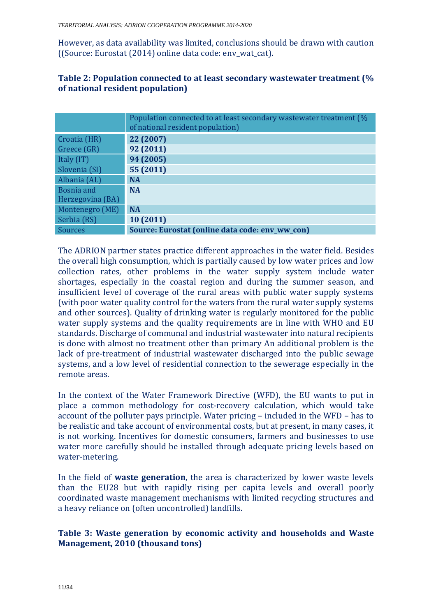However, as data availability was limited, conclusions should be drawn with caution ((Source: Eurostat (2014) online data code: env wat cat).

#### **Table 2: Population connected to at least secondary wastewater treatment (% of national resident population)**

|                  | Population connected to at least secondary wastewater treatment (%<br>of national resident population) |
|------------------|--------------------------------------------------------------------------------------------------------|
| Croatia (HR)     | 22 (2007)                                                                                              |
| Greece (GR)      | 92 (2011)                                                                                              |
| Italy (IT)       | 94 (2005)                                                                                              |
| Slovenia (SI)    | 55 (2011)                                                                                              |
| Albania (AL)     | <b>NA</b>                                                                                              |
| Bosnia and       | <b>NA</b>                                                                                              |
| Herzegovina (BA) |                                                                                                        |
| Montenegro (ME)  | <b>NA</b>                                                                                              |
| Serbia (RS)      | 10(2011)                                                                                               |
| <b>Sources</b>   | Source: Eurostat (online data code: env_ww_con)                                                        |

The ADRION partner states practice different approaches in the water field. Besides the overall high consumption, which is partially caused by low water prices and low collection rates, other problems in the water supply system include water shortages, especially in the coastal region and during the summer season, and insufficient level of coverage of the rural areas with public water supply systems (with poor water quality control for the waters from the rural water supply systems and other sources). Quality of drinking water is regularly monitored for the public water supply systems and the quality requirements are in line with WHO and EU standards. Discharge of communal and industrial wastewater into natural recipients is done with almost no treatment other than primary An additional problem is the lack of pre-treatment of industrial wastewater discharged into the public sewage systems, and a low level of residential connection to the sewerage especially in the remote areas.

In the context of the Water Framework Directive (WFD), the EU wants to put in place a common methodology for cost-recovery calculation, which would take account of the polluter pays principle. Water pricing – included in the WFD – has to be realistic and take account of environmental costs, but at present, in many cases, it is not working. Incentives for domestic consumers, farmers and businesses to use water more carefully should be installed through adequate pricing levels based on water-metering.

In the field of **waste generation**, the area is characterized by lower waste levels than the EU28 but with rapidly rising per capita levels and overall poorly coordinated waste management mechanisms with limited recycling structures and a heavy reliance on (often uncontrolled) landfills.

#### **Table 3: Waste generation by economic activity and households and Waste Management, 2010 (thousand tons)**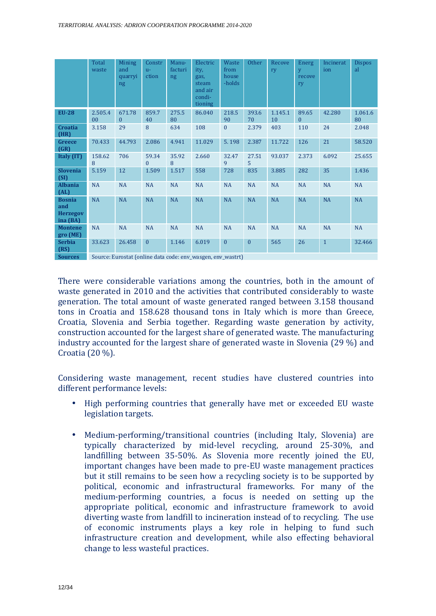|                                                     | Total<br>waste            | <b>Mining</b><br>and<br>quarryi<br>ng | Constr<br>$u-$<br>ction | Manu-<br>facturi<br>ng | Electric<br>ity,<br>gas,<br>steam<br>and air<br>condi-<br>tioning                                                                                                                                                                     | Waste<br>from<br>house<br>-holds | <b>Other</b>            | Recove<br>ry  | Energ<br>y<br>recove<br>ry | Incinerat<br>ion | <b>Dispos</b><br>al |
|-----------------------------------------------------|---------------------------|---------------------------------------|-------------------------|------------------------|---------------------------------------------------------------------------------------------------------------------------------------------------------------------------------------------------------------------------------------|----------------------------------|-------------------------|---------------|----------------------------|------------------|---------------------|
| <b>EU-28</b>                                        | 2.505.4<br>0 <sup>0</sup> | 671.78<br>$\mathbf{0}$                | 859.7<br>40             | 275.5<br>80            | 86.040                                                                                                                                                                                                                                | 218.5<br>90                      | 393.6<br>70             | 1.145.1<br>10 | 89.65<br>$\mathbf{0}$      | 42.280           | 1.061.6<br>80       |
| <b>Croatia</b><br>(HR)                              | 3.158                     | 29                                    | 8                       | 634                    | 108                                                                                                                                                                                                                                   | $\mathbf{0}$                     | 2.379                   | 403           | 110                        | 24               | 2.048               |
| <b>Greece</b><br>(GR)                               | 70.433                    | 44.793                                | 2.086                   | 4.941                  | 11.029                                                                                                                                                                                                                                | 5.198                            | 2.387                   | 11.722        | 126                        | 21               | 58.520              |
| Italy (IT)                                          | 158.62<br>8               | 706                                   | 59.34<br>$\mathbf{0}$   | 35.92<br>8             | 2.660                                                                                                                                                                                                                                 | 32.47<br>9                       | 27.51<br>5 <sup>1</sup> | 93.037        | 2.373                      | 6.092            | 25.655              |
| <b>Slovenia</b><br>(SI)                             | 5.159                     | 12                                    | 1.509                   | 1.517                  | 558                                                                                                                                                                                                                                   | 728                              | 835                     | 3.885         | 282                        | 35               | 1.436               |
| <b>Albania</b><br>(AL)                              | <b>NA</b>                 | <b>NA</b>                             | <b>NA</b>               | <b>NA</b>              | <b>NA</b>                                                                                                                                                                                                                             | <b>NA</b>                        | <b>NA</b>               | <b>NA</b>     | <b>NA</b>                  | <b>NA</b>        | <b>NA</b>           |
| <b>Bosnia</b><br>and<br><b>Herzegov</b><br>ina (BA) | <b>NA</b>                 | NA                                    | <b>NA</b>               | <b>NA</b>              | NA                                                                                                                                                                                                                                    | <b>NA</b>                        | <b>NA</b>               | NA            | <b>NA</b>                  | <b>NA</b>        | NA                  |
| <b>Montene</b><br>gro(ME)                           | <b>NA</b>                 | <b>NA</b>                             | <b>NA</b>               | <b>NA</b>              | <b>NA</b>                                                                                                                                                                                                                             | <b>NA</b>                        | <b>NA</b>               | <b>NA</b>     | <b>NA</b>                  | <b>NA</b>        | <b>NA</b>           |
| <b>Serbia</b><br>(RS)                               | 33.623                    | 26.458                                | $\mathbf{0}$            | 1.146                  | 6.019                                                                                                                                                                                                                                 | $\mathbf{0}$                     | $\mathbf{0}$            | 565           | 26                         | $\mathbf{1}$     | 32.466              |
| $\sim$                                              |                           |                                       |                         |                        | $\alpha$ . The set of the state $\alpha$ is the set of the set of the set of the set of the set of the set of the set of the set of the set of the set of the set of the set of the set of the set of the set of the set of the set o |                                  |                         |               |                            |                  |                     |

**Sources** Source: Eurostat (online data code: env\_wasgen, env\_wastrt)

There were considerable variations among the countries, both in the amount of waste generated in 2010 and the activities that contributed considerably to waste generation. The total amount of waste generated ranged between 3.158 thousand tons in Croatia and 158.628 thousand tons in Italy which is more than Greece, Croatia, Slovenia and Serbia together. Regarding waste generation by activity, construction accounted for the largest share of generated waste. The manufacturing industry accounted for the largest share of generated waste in Slovenia (29 %) and Croatia (20 %).

Considering waste management, recent studies have clustered countries into different performance levels:

- High performing countries that generally have met or exceeded EU waste legislation targets.
- Medium-performing/transitional countries (including Italy, Slovenia) are typically characterized by mid-level recycling, around 25-30%, and landfilling between 35-50%. As Slovenia more recently joined the EU, important changes have been made to pre-EU waste management practices but it still remains to be seen how a recycling society is to be supported by political, economic and infrastructural frameworks. For many of the medium-performing countries, a focus is needed on setting up the appropriate political, economic and infrastructure framework to avoid diverting waste from landfill to incineration instead of to recycling. The use of economic instruments plays a key role in helping to fund such infrastructure creation and development, while also effecting behavioral change to less wasteful practices.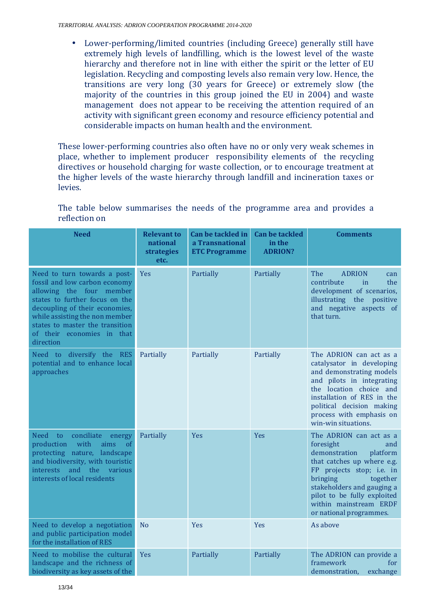• Lower-performing/limited countries (including Greece) generally still have extremely high levels of landfilling, which is the lowest level of the waste hierarchy and therefore not in line with either the spirit or the letter of EU legislation. Recycling and composting levels also remain very low. Hence, the transitions are very long (30 years for Greece) or extremely slow (the majority of the countries in this group joined the EU in 2004) and waste management does not appear to be receiving the attention required of an activity with significant green economy and resource efficiency potential and considerable impacts on human health and the environment.

These lower-performing countries also often have no or only very weak schemes in place, whether to implement producer responsibility elements of the recycling directives or household charging for waste collection, or to encourage treatment at the higher levels of the waste hierarchy through landfill and incineration taxes or levies.

#### The table below summarises the needs of the programme area and provides a reflection on

| <b>Need</b>                                                                                                                                                                                                                                                                   | <b>Relevant to</b><br>national<br>strategies<br>etc. | Can be tackled in<br>a Transnational<br><b>ETC Programme</b> | <b>Can be tackled</b><br>in the<br><b>ADRION?</b> | <b>Comments</b>                                                                                                                                                                                                                                                               |
|-------------------------------------------------------------------------------------------------------------------------------------------------------------------------------------------------------------------------------------------------------------------------------|------------------------------------------------------|--------------------------------------------------------------|---------------------------------------------------|-------------------------------------------------------------------------------------------------------------------------------------------------------------------------------------------------------------------------------------------------------------------------------|
| Need to turn towards a post-<br>fossil and low carbon economy<br>allowing the four member<br>states to further focus on the<br>decoupling of their economies,<br>while assisting the non member<br>states to master the transition<br>of their economies in that<br>direction | <b>Yes</b>                                           | Partially                                                    | Partially                                         | <b>The</b><br><b>ADRION</b><br>can<br>contribute<br>the<br>in<br>development of scenarios,<br>illustrating the positive<br>and negative aspects of<br>that turn.                                                                                                              |
| Need to diversify the RES<br>potential and to enhance local<br>approaches                                                                                                                                                                                                     | Partially                                            | Partially                                                    | Partially                                         | The ADRION can act as a<br>catalysator in developing<br>and demonstrating models<br>and pilots in integrating<br>the location choice and<br>installation of RES in the<br>political decision making<br>process with emphasis on<br>win-win situations.                        |
| <b>Need</b><br>conciliate<br>to<br>energy<br>production with<br>aims<br>of<br>protecting nature, landscape<br>and biodiversity, with touristic<br>interests and<br>the various<br>interests of local residents                                                                | Partially                                            | <b>Yes</b>                                                   | <b>Yes</b>                                        | The ADRION can act as a<br>foresight<br>and<br>demonstration<br>platform<br>that catches up where e.g.<br>FP projects stop; i.e. in<br>bringing<br>together<br>stakeholders and gauging a<br>pilot to be fully exploited<br>within mainstream ERDF<br>or national programmes. |
| Need to develop a negotiation<br>and public participation model<br>for the installation of RES                                                                                                                                                                                | <b>No</b>                                            | Yes                                                          | Yes                                               | As above                                                                                                                                                                                                                                                                      |
| Need to mobilise the cultural<br>landscape and the richness of<br>biodiversity as key assets of the                                                                                                                                                                           | Yes                                                  | Partially                                                    | Partially                                         | The ADRION can provide a<br>framework<br>for<br>demonstration, exchange                                                                                                                                                                                                       |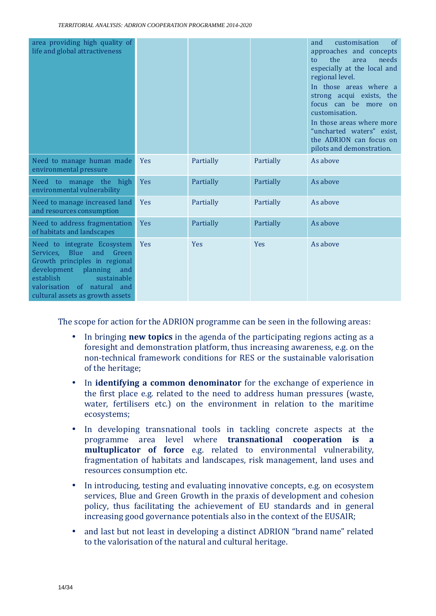| area providing high quality of<br>life and global attractiveness                                                                                                                                                             |            |            |           | customisation<br>of<br>and<br>approaches and concepts<br>needs<br>the<br>area<br>to.<br>especially at the local and<br>regional level.<br>In those areas where a<br>strong acqui exists, the<br>focus can be more<br>on<br>customisation.<br>In those areas where more<br>"uncharted waters" exist,<br>the ADRION can focus on<br>pilots and demonstration. |
|------------------------------------------------------------------------------------------------------------------------------------------------------------------------------------------------------------------------------|------------|------------|-----------|-------------------------------------------------------------------------------------------------------------------------------------------------------------------------------------------------------------------------------------------------------------------------------------------------------------------------------------------------------------|
| Need to manage human made<br>environmental pressure                                                                                                                                                                          | Yes        | Partially  | Partially | As above                                                                                                                                                                                                                                                                                                                                                    |
| Need to manage the high<br>environmental vulnerability                                                                                                                                                                       | Yes        | Partially  | Partially | As above                                                                                                                                                                                                                                                                                                                                                    |
| Need to manage increased land<br>and resources consumption                                                                                                                                                                   | Yes        | Partially  | Partially | As above                                                                                                                                                                                                                                                                                                                                                    |
| Need to address fragmentation<br>of habitats and landscapes                                                                                                                                                                  | <b>Yes</b> | Partially  | Partially | As above                                                                                                                                                                                                                                                                                                                                                    |
| Need to integrate Ecosystem<br>Services, Blue<br>and<br>Green<br>Growth principles in regional<br>development planning<br>and<br>establish<br>sustainable<br>valorisation of natural and<br>cultural assets as growth assets | <b>Yes</b> | <b>Yes</b> | Yes       | As above                                                                                                                                                                                                                                                                                                                                                    |

The scope for action for the ADRION programme can be seen in the following areas:

- In bringing **new topics** in the agenda of the participating regions acting as a foresight and demonstration platform, thus increasing awareness, e.g. on the non-technical framework conditions for RES or the sustainable valorisation of the heritage;
- In **identifying a common denominator** for the exchange of experience in the first place e.g. related to the need to address human pressures (waste, water, fertilisers etc.) on the environment in relation to the maritime ecosystems;
- In developing transnational tools in tackling concrete aspects at the programme area level where **transnational cooperation is a multuplicator of force** e.g. related to environmental vulnerability, fragmentation of habitats and landscapes, risk management, land uses and resources consumption etc.
- In introducing, testing and evaluating innovative concepts, e.g. on ecosystem services, Blue and Green Growth in the praxis of development and cohesion policy, thus facilitating the achievement of EU standards and in general increasing good governance potentials also in the context of the EUSAIR;
- and last but not least in developing a distinct ADRION "brand name" related to the valorisation of the natural and cultural heritage.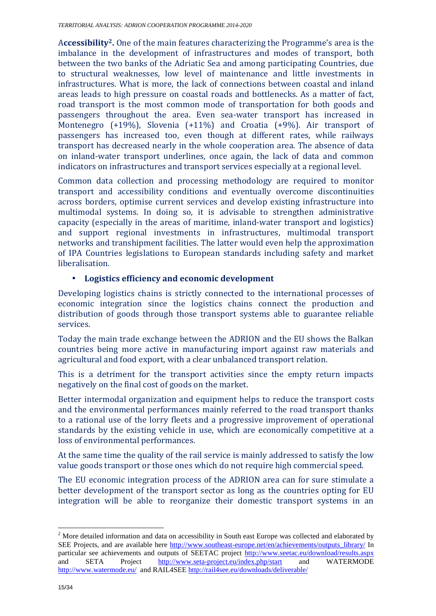A**ccessibility2.** One of the main features characterizing the Programme's area is the imbalance in the development of infrastructures and modes of transport, both between the two banks of the Adriatic Sea and among participating Countries, due to structural weaknesses, low level of maintenance and little investments in infrastructures. What is more, the lack of connections between coastal and inland areas leads to high pressure on coastal roads and bottlenecks. As a matter of fact, road transport is the most common mode of transportation for both goods and passengers throughout the area. Even sea-water transport has increased in Montenegro (+19%), Slovenia (+11%) and Croatia (+9%). Air transport of passengers has increased too, even though at different rates, while railways transport has decreased nearly in the whole cooperation area. The absence of data on inland-water transport underlines, once again, the lack of data and common indicators on infrastructures and transport services especially at a regional level.

Common data collection and processing methodology are required to monitor transport and accessibility conditions and eventually overcome discontinuities across borders, optimise current services and develop existing infrastructure into multimodal systems. In doing so, it is advisable to strengthen administrative capacity (especially in the areas of maritime, inland-water transport and logistics) and support regional investments in infrastructures, multimodal transport networks and transhipment facilities. The latter would even help the approximation of IPA Countries legislations to European standards including safety and market liberalisation.

#### • **Logistics efficiency and economic development**

Developing logistics chains is strictly connected to the international processes of economic integration since the logistics chains connect the production and distribution of goods through those transport systems able to guarantee reliable services.

Today the main trade exchange between the ADRION and the EU shows the Balkan countries being more active in manufacturing import against raw materials and agricultural and food export, with a clear unbalanced transport relation.

This is a detriment for the transport activities since the empty return impacts negatively on the final cost of goods on the market.

Better intermodal organization and equipment helps to reduce the transport costs and the environmental performances mainly referred to the road transport thanks to a rational use of the lorry fleets and a progressive improvement of operational standards by the existing vehicle in use, which are economically competitive at a loss of environmental performances.

At the same time the quality of the rail service is mainly addressed to satisfy the low value goods transport or those ones which do not require high commercial speed.

The EU economic integration process of the ADRION area can for sure stimulate a better development of the transport sector as long as the countries opting for EU integration will be able to reorganize their domestic transport systems in an

 $\overline{a}$  $2$  More detailed information and data on accessibility in South east Europe was collected and elaborated by SEE Projects, and are available here http://www.southeast-europe.net/en/achievements/outputs\_library/ In particular see achievements and outputs of SEETAC project http://www.seetac.eu/download/results.aspx and SETA Project http://www.seta-project.eu/index.php/start and WATERMODE http://www.watermode.eu/ and RAIL4SEE http://rail4see.eu/downloads/deliverable/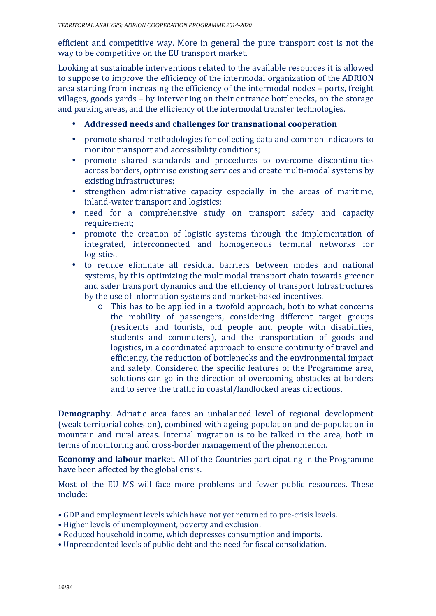efficient and competitive way. More in general the pure transport cost is not the way to be competitive on the EU transport market.

Looking at sustainable interventions related to the available resources it is allowed to suppose to improve the efficiency of the intermodal organization of the ADRION area starting from increasing the efficiency of the intermodal nodes – ports, freight villages, goods yards – by intervening on their entrance bottlenecks, on the storage and parking areas, and the efficiency of the intermodal transfer technologies.

#### • **Addressed needs and challenges for transnational cooperation**

- promote shared methodologies for collecting data and common indicators to monitor transport and accessibility conditions;
- promote shared standards and procedures to overcome discontinuities across borders, optimise existing services and create multi-modal systems by existing infrastructures;
- strengthen administrative capacity especially in the areas of maritime, inland-water transport and logistics;
- need for a comprehensive study on transport safety and capacity requirement:
- promote the creation of logistic systems through the implementation of integrated, interconnected and homogeneous terminal networks for logistics.
- to reduce eliminate all residual barriers between modes and national systems, by this optimizing the multimodal transport chain towards greener and safer transport dynamics and the efficiency of transport Infrastructures by the use of information systems and market-based incentives.
	- o This has to be applied in a twofold approach, both to what concerns the mobility of passengers, considering different target groups (residents and tourists, old people and people with disabilities, students and commuters), and the transportation of goods and logistics, in a coordinated approach to ensure continuity of travel and efficiency, the reduction of bottlenecks and the environmental impact and safety. Considered the specific features of the Programme area, solutions can go in the direction of overcoming obstacles at borders and to serve the traffic in coastal/landlocked areas directions.

**Demography**. Adriatic area faces an unbalanced level of regional development (weak territorial cohesion), combined with ageing population and de-population in mountain and rural areas. Internal migration is to be talked in the area, both in terms of monitoring and cross-border management of the phenomenon.

**Economy and labour mark**et. All of the Countries participating in the Programme have been affected by the global crisis.

Most of the EU MS will face more problems and fewer public resources. These include:

- GDP and employment levels which have not yet returned to pre-crisis levels.
- Higher levels of unemployment, poverty and exclusion.
- Reduced household income, which depresses consumption and imports.
- Unprecedented levels of public debt and the need for fiscal consolidation.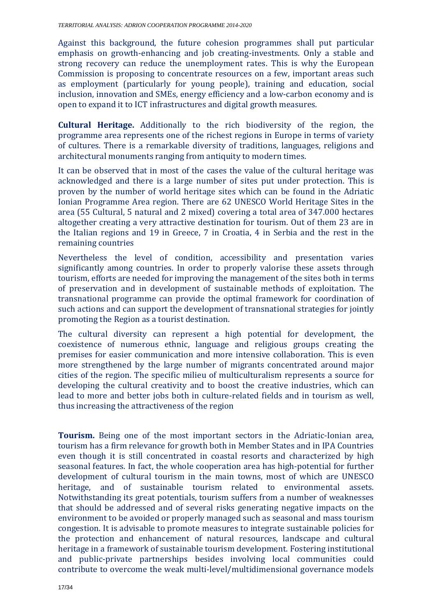Against this background, the future cohesion programmes shall put particular emphasis on growth-enhancing and job creating-investments. Only a stable and strong recovery can reduce the unemployment rates. This is why the European Commission is proposing to concentrate resources on a few, important areas such as employment (particularly for young people), training and education, social inclusion, innovation and SMEs, energy efficiency and a low-carbon economy and is open to expand it to ICT infrastructures and digital growth measures.

**Cultural Heritage.** Additionally to the rich biodiversity of the region, the programme area represents one of the richest regions in Europe in terms of variety of cultures. There is a remarkable diversity of traditions, languages, religions and architectural monuments ranging from antiquity to modern times.

It can be observed that in most of the cases the value of the cultural heritage was acknowledged and there is a large number of sites put under protection. This is proven by the number of world heritage sites which can be found in the Adriatic Ionian Programme Area region. There are 62 UNESCO World Heritage Sites in the area (55 Cultural, 5 natural and 2 mixed) covering a total area of 347.000 hectares altogether creating a very attractive destination for tourism. Out of them 23 are in the Italian regions and 19 in Greece, 7 in Croatia, 4 in Serbia and the rest in the remaining countries

Nevertheless the level of condition, accessibility and presentation varies significantly among countries. In order to properly valorise these assets through tourism, efforts are needed for improving the management of the sites both in terms of preservation and in development of sustainable methods of exploitation. The transnational programme can provide the optimal framework for coordination of such actions and can support the development of transnational strategies for jointly promoting the Region as a tourist destination.

The cultural diversity can represent a high potential for development, the coexistence of numerous ethnic, language and religious groups creating the premises for easier communication and more intensive collaboration. This is even more strengthened by the large number of migrants concentrated around major cities of the region. The specific milieu of multiculturalism represents a source for developing the cultural creativity and to boost the creative industries, which can lead to more and better jobs both in culture-related fields and in tourism as well, thus increasing the attractiveness of the region

**Tourism.** Being one of the most important sectors in the Adriatic-Ionian area, tourism has a firm relevance for growth both in Member States and in IPA Countries even though it is still concentrated in coastal resorts and characterized by high seasonal features. In fact, the whole cooperation area has high-potential for further development of cultural tourism in the main towns, most of which are UNESCO heritage, and of sustainable tourism related to environmental assets. Notwithstanding its great potentials, tourism suffers from a number of weaknesses that should be addressed and of several risks generating negative impacts on the environment to be avoided or properly managed such as seasonal and mass tourism congestion. It is advisable to promote measures to integrate sustainable policies for the protection and enhancement of natural resources, landscape and cultural heritage in a framework of sustainable tourism development. Fostering institutional and public-private partnerships besides involving local communities could contribute to overcome the weak multi-level/multidimensional governance models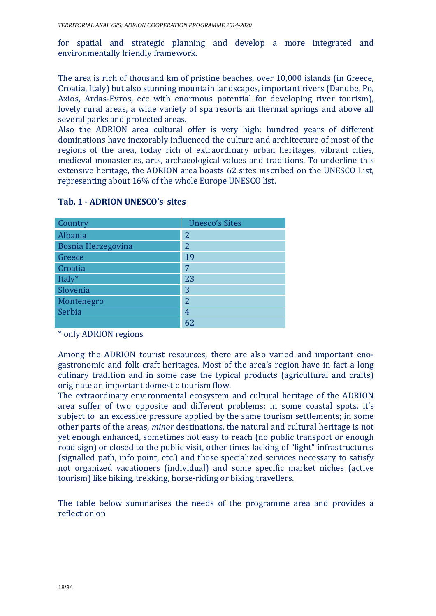for spatial and strategic planning and develop a more integrated and environmentally friendly framework.

The area is rich of thousand km of pristine beaches, over 10,000 islands (in Greece, Croatia, Italy) but also stunning mountain landscapes, important rivers (Danube, Po, Axios, Ardas-Evros, ecc with enormous potential for developing river tourism), lovely rural areas, a wide variety of spa resorts an thermal springs and above all several parks and protected areas.

Also the ADRION area cultural offer is very high: hundred years of different dominations have inexorably influenced the culture and architecture of most of the regions of the area, today rich of extraordinary urban heritages, vibrant cities, medieval monasteries, arts, archaeological values and traditions. To underline this extensive heritage, the ADRION area boasts 62 sites inscribed on the UNESCO List, representing about 16% of the whole Europe UNESCO list.

| Country                   | <b>Unesco's Sites</b> |
|---------------------------|-----------------------|
| Albania                   | 2                     |
| <b>Bosnia Herzegovina</b> | 2                     |
| Greece                    | 19                    |
| Croatia                   | 7                     |
| Italy*                    | 23                    |
| Slovenia                  | 3                     |
| Montenegro                | 2                     |
| Serbia                    | 4                     |
|                           | 62                    |

#### **Tab. 1 - ADRION UNESCO's sites**

\* only ADRION regions

Among the ADRION tourist resources, there are also varied and important enogastronomic and folk craft heritages. Most of the area's region have in fact a long culinary tradition and in some case the typical products (agricultural and crafts) originate an important domestic tourism flow.

The extraordinary environmental ecosystem and cultural heritage of the ADRION area suffer of two opposite and different problems: in some coastal spots, it's subject to an excessive pressure applied by the same tourism settlements; in some other parts of the areas, *minor* destinations, the natural and cultural heritage is not yet enough enhanced, sometimes not easy to reach (no public transport or enough road sign) or closed to the public visit, other times lacking of "light" infrastructures (signalled path, info point, etc.) and those specialized services necessary to satisfy not organized vacationers (individual) and some specific market niches (active tourism) like hiking, trekking, horse-riding or biking travellers.

The table below summarises the needs of the programme area and provides a reflection on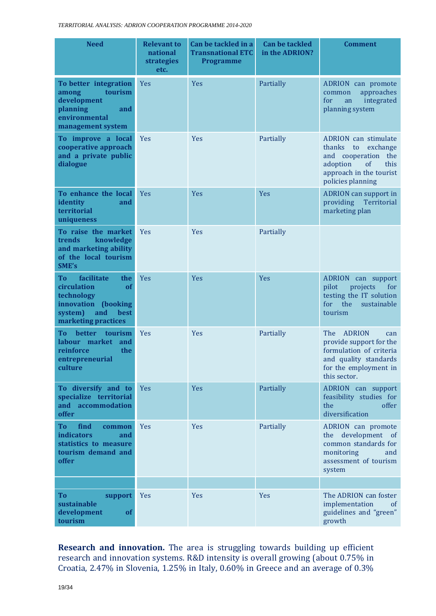| <b>Need</b>                                                                                                                        | <b>Relevant to</b><br>national<br>strategies<br>etc. | Can be tackled in a<br><b>Transnational ETC</b><br><b>Programme</b> | <b>Can be tackled</b><br>in the ADRION? | <b>Comment</b>                                                                                                                                      |
|------------------------------------------------------------------------------------------------------------------------------------|------------------------------------------------------|---------------------------------------------------------------------|-----------------------------------------|-----------------------------------------------------------------------------------------------------------------------------------------------------|
| To better integration<br>tourism<br>among<br>development<br>planning<br>and<br>environmental<br>management system                  | Yes                                                  | Yes                                                                 | Partially                               | ADRION can promote<br>approaches<br>common<br>for<br>integrated<br>an<br>planning system                                                            |
| To improve a local<br>cooperative approach<br>and a private public<br>dialogue                                                     | <b>Yes</b>                                           | Yes                                                                 | Partially                               | ADRION can stimulate<br>thanks<br>exchange<br>to<br>and cooperation the<br>adoption<br>this<br>of<br>approach in the tourist<br>policies planning   |
| To enhance the local<br>identity<br>and<br>territorial<br>uniqueness                                                               | Yes                                                  | Yes                                                                 | Yes                                     | ADRION can support in<br>providing<br>Territorial<br>marketing plan                                                                                 |
| To raise the market<br>trends<br>knowledge<br>and marketing ability<br>of the local tourism<br>SME's                               | Yes                                                  | Yes                                                                 | Partially                               |                                                                                                                                                     |
| facilitate<br>the<br>To<br>circulation<br>of<br>technology<br>innovation (booking<br>system)<br>and<br>best<br>marketing practices | Yes                                                  | Yes                                                                 | Yes                                     | ADRION can support<br>pilot<br>projects<br>for<br>testing the IT solution<br>the<br>for<br>sustainable<br>tourism                                   |
| <b>better</b><br>To<br>tourism<br>labour market and<br>reinforce<br>the<br>entrepreneurial<br>culture                              | Yes                                                  | Yes                                                                 | Partially                               | The<br><b>ADRION</b><br>can<br>provide support for the<br>formulation of criteria<br>and quality standards<br>for the employment in<br>this sector. |
| To diversify and to<br>specialize territorial<br>and accommodation<br>offer                                                        | Yes                                                  | <b>Yes</b>                                                          | Partially                               | ADRION can support<br>feasibility studies for<br>the<br>offer<br>diversification                                                                    |
| find<br>Тo<br>common<br><i>indicators</i><br>and<br>statistics to measure<br>tourism demand and<br><b>offer</b>                    | <b>Yes</b>                                           | Yes                                                                 | Partially                               | ADRION can promote<br>the development of<br>common standards for<br>monitoring<br>and<br>assessment of tourism<br>system                            |
| To<br>support<br>sustainable<br>development<br>of                                                                                  | Yes                                                  | Yes                                                                 | Yes                                     | The ADRION can foster<br>implementation<br><sub>of</sub><br>guidelines and "green"                                                                  |
| tourism                                                                                                                            |                                                      |                                                                     |                                         | growth                                                                                                                                              |

**Research and innovation.** The area is struggling towards building up efficient research and innovation systems. R&D intensity is overall growing (about 0.75% in Croatia, 2.47% in Slovenia, 1.25% in Italy, 0.60% in Greece and an average of 0.3%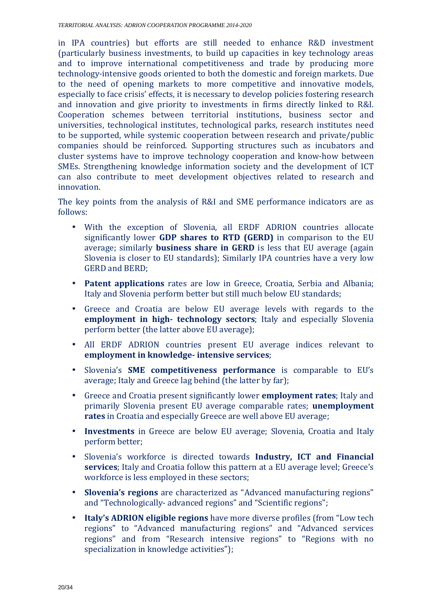in IPA countries) but efforts are still needed to enhance R&D investment (particularly business investments, to build up capacities in key technology areas and to improve international competitiveness and trade by producing more technology-intensive goods oriented to both the domestic and foreign markets. Due to the need of opening markets to more competitive and innovative models, especially to face crisis' effects, it is necessary to develop policies fostering research and innovation and give priority to investments in firms directly linked to R&I. Cooperation schemes between territorial institutions, business sector and universities, technological institutes, technological parks, research institutes need to be supported, while systemic cooperation between research and private/public companies should be reinforced. Supporting structures such as incubators and cluster systems have to improve technology cooperation and know-how between SMEs. Strengthening knowledge information society and the development of ICT can also contribute to meet development objectives related to research and innovation.

The key points from the analysis of R&I and SME performance indicators are as follows:

- With the exception of Slovenia, all ERDF ADRION countries allocate significantly lower **GDP shares to RTD (GERD)** in comparison to the EU average; similarly **business share in GERD** is less that EU average (again Slovenia is closer to EU standards); Similarly IPA countries have a very low GERD and BERD;
- **Patent applications** rates are low in Greece, Croatia, Serbia and Albania; Italy and Slovenia perform better but still much below EU standards;
- Greece and Croatia are below EU average levels with regards to the **employment in high- technology sectors**; Italy and especially Slovenia perform better (the latter above EU average);
- All ERDF ADRION countries present EU average indices relevant to **employment in knowledge- intensive services**;
- Slovenia's **SME competitiveness performance** is comparable to EU's average; Italy and Greece lag behind (the latter by far);
- Greece and Croatia present significantly lower **employment rates**; Italy and primarily Slovenia present EU average comparable rates; **unemployment rates** in Croatia and especially Greece are well above EU average;
- **Investments** in Greece are below EU average; Slovenia, Croatia and Italy perform better;
- Slovenia's workforce is directed towards **Industry, ICT and Financial services**; Italy and Croatia follow this pattern at a EU average level; Greece's workforce is less employed in these sectors;
- **Slovenia's regions** are characterized as "Advanced manufacturing regions" and "Technologically- advanced regions" and "Scientific regions";
- **Italy's ADRION eligible regions** have more diverse profiles (from "Low tech regions" to "Advanced manufacturing regions" and "Advanced services regions" and from "Research intensive regions" to "Regions with no specialization in knowledge activities");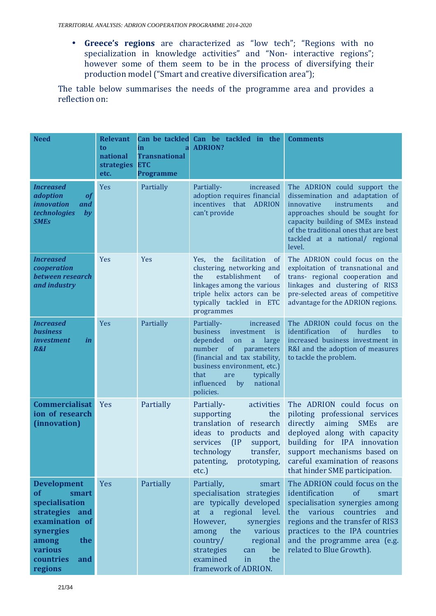• **Greece's regions** are characterized as "low tech"; "Regions with no specialization in knowledge activities" and "Non- interactive regions"; however some of them seem to be in the process of diversifying their production model ("Smart and creative diversification area");

The table below summarises the needs of the programme area and provides a reflection on:

| <b>Need</b>                                                                                                                                                    | <b>Relevant</b><br>to<br>national<br>strategies<br>etc. | Can be tackled<br>in<br>a<br><b>Transnational</b><br><b>ETC</b><br><b>Programme</b> | Can be tackled in the<br><b>ADRION?</b>                                                                                                                                                                                                                                                 | <b>Comments</b>                                                                                                                                                                                                                                                           |
|----------------------------------------------------------------------------------------------------------------------------------------------------------------|---------------------------------------------------------|-------------------------------------------------------------------------------------|-----------------------------------------------------------------------------------------------------------------------------------------------------------------------------------------------------------------------------------------------------------------------------------------|---------------------------------------------------------------------------------------------------------------------------------------------------------------------------------------------------------------------------------------------------------------------------|
| <b>Increased</b><br><i>adoption</i><br><b>of</b><br><i>innovation</i><br>and<br>technologies<br>$b\mathbf{v}$<br><b>SMEs</b>                                   | <b>Yes</b>                                              | Partially                                                                           | Partially-<br>increased<br>adoption requires financial<br>incentives that ADRION<br>can't provide                                                                                                                                                                                       | The ADRION could support the<br>dissemination and adaptation of<br>innovative<br>instruments<br>and<br>approaches should be sought for<br>capacity building of SMEs instead<br>of the traditional ones that are best<br>tackled at a national/ regional<br>level.         |
| <b>Increased</b><br>cooperation<br>between research<br>and industry                                                                                            | <b>Yes</b>                                              | <b>Yes</b>                                                                          | facilitation<br>the<br>Yes.<br><sub>of</sub><br>clustering, networking and<br>establishment<br>the<br><sub>of</sub><br>linkages among the various<br>triple helix actors can be<br>typically tackled in ETC<br>programmes                                                               | The ADRION could focus on the<br>exploitation of transnational and<br>trans- regional cooperation and<br>linkages and clustering of RIS3<br>pre-selected areas of competitive<br>advantage for the ADRION regions.                                                        |
| <b>Increased</b><br><b>business</b><br>investment<br>in<br>R&I                                                                                                 | Yes                                                     | Partially                                                                           | Partially-<br>increased<br>business<br>investment<br>$\overline{\phantom{a}}$ is<br>depended<br>on<br>a<br>large<br>number<br>of<br>parameters<br>(financial and tax stability,<br>business environment, etc.)<br>that<br>typically<br>are<br>influenced<br>national<br>by<br>policies. | The ADRION could focus on the<br>identification<br>of<br>hurdles<br>to<br>increased business investment in<br>R&I and the adoption of measures<br>to tackle the problem.                                                                                                  |
| <b>Commercialisat</b><br>ion of research<br>(innovation)                                                                                                       | Yes                                                     | Partially                                                                           | activities<br>Partially-<br>supporting<br>the<br>translation of research<br>ideas to products and<br>(IP)<br>services<br>support,<br>technology<br>transfer,<br>patenting, prototyping,<br>etc.                                                                                         | The ADRION could focus on<br>piloting professional services<br>directly<br>aiming<br><b>SMEs</b><br>are<br>deployed along with capacity<br>building for IPA innovation<br>support mechanisms based on<br>careful examination of reasons<br>that hinder SME participation. |
| <b>Development</b><br>smart<br>of<br>specialisation<br>strategies and<br>examination of<br>synergies<br>the<br>among<br>various<br>countries<br>and<br>regions | Yes                                                     | Partially                                                                           | Partially,<br>smart<br>specialisation strategies<br>are typically developed<br>regional<br>level.<br>at<br>a<br>However,<br>synergies<br>the<br>various<br>among<br>country/<br>regional<br>strategies<br>be<br>can<br>examined<br>in<br>the<br>framework of ADRION.                    | The ADRION could focus on the<br>identification<br>of<br>smart<br>specialisation synergies among<br>various<br>countries<br>the<br>and<br>regions and the transfer of RIS3<br>practices to the IPA countries<br>and the programme area (e.g.<br>related to Blue Growth).  |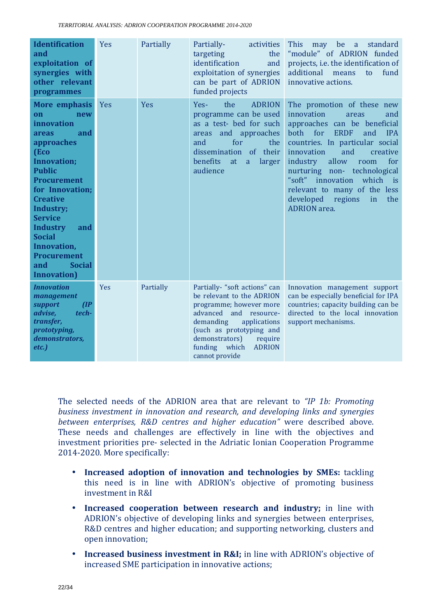| <b>Identification</b><br>and<br>exploitation of<br>synergies with<br>other relevant<br>programmes                                                                                                                                                                                                                                                                 | Yes | Partially | Partially-<br>activities<br>targeting<br>the<br>identification<br>and<br>exploitation of synergies<br>can be part of ADRION<br>funded projects                                                                                                            | <b>This</b><br>be<br>may<br>standard<br>a<br>"module" of ADRION funded<br>projects, i.e. the identification of<br>additional<br>fund<br>means<br>to<br>innovative actions.                                                                                                                                                                                                                                                 |
|-------------------------------------------------------------------------------------------------------------------------------------------------------------------------------------------------------------------------------------------------------------------------------------------------------------------------------------------------------------------|-----|-----------|-----------------------------------------------------------------------------------------------------------------------------------------------------------------------------------------------------------------------------------------------------------|----------------------------------------------------------------------------------------------------------------------------------------------------------------------------------------------------------------------------------------------------------------------------------------------------------------------------------------------------------------------------------------------------------------------------|
| More emphasis<br>new<br>$\mathbf{on}$<br>innovation<br>and<br>areas<br>approaches<br>(Eco<br><b>Innovation;</b><br><b>Public</b><br><b>Procurement</b><br>for Innovation;<br><b>Creative</b><br>Industry;<br><b>Service</b><br><b>Industry</b><br>and<br><b>Social</b><br><b>Innovation,</b><br><b>Procurement</b><br>and<br><b>Social</b><br><b>Innovation</b> ) | Yes | Yes       | the<br><b>ADRION</b><br>Yes-<br>programme can be used<br>as a test- bed for such<br>areas and approaches<br>for<br>and<br>the<br>dissemination of their<br>benefits at<br>larger<br>a<br>audience                                                         | The promotion of these new<br>innovation<br>areas<br>and<br>approaches can be beneficial<br>both<br>for<br><b>ERDF</b><br><b>IPA</b><br>and<br>countries. In particular social<br>innovation<br>and<br>creative<br>industry<br>allow<br>for<br>room<br>nurturing non- technological<br>"soft"<br>innovation<br>which<br>$-$ is<br>relevant to many of the less<br>developed<br>regions<br>the<br>in<br><b>ADRION</b> area. |
| <b>Innovation</b><br>management<br><b>support</b><br>$\mathbf{I}$<br>advise,<br>tech-<br>transfer,<br>prototyping,<br>demonstrators,<br>$etc.$ )                                                                                                                                                                                                                  | Yes | Partially | Partially- "soft actions" can<br>be relevant to the ADRION<br>programme; however more<br>advanced and resource-<br>demanding<br>applications<br>(such as prototyping and<br>demonstrators)<br>require<br>funding which<br><b>ADRION</b><br>cannot provide | Innovation management support<br>can be especially beneficial for IPA<br>countries; capacity building can be<br>directed to the local innovation<br>support mechanisms.                                                                                                                                                                                                                                                    |

The selected needs of the ADRION area that are relevant to *"IP 1b: Promoting business investment in innovation and research, and developing links and synergies between enterprises, R&D centres and higher education"* were described above. These needs and challenges are effectively in line with the objectives and investment priorities pre- selected in the Adriatic Ionian Cooperation Programme 2014-2020. More specifically:

- **Increased adoption of innovation and technologies by SMEs:** tackling this need is in line with ADRION's objective of promoting business investment in R&I
- **Increased cooperation between research and industry;** in line with ADRION's objective of developing links and synergies between enterprises, R&D centres and higher education; and supporting networking, clusters and open innovation;
- **Increased business investment in R&I;** in line with ADRION's objective of increased SME participation in innovative actions;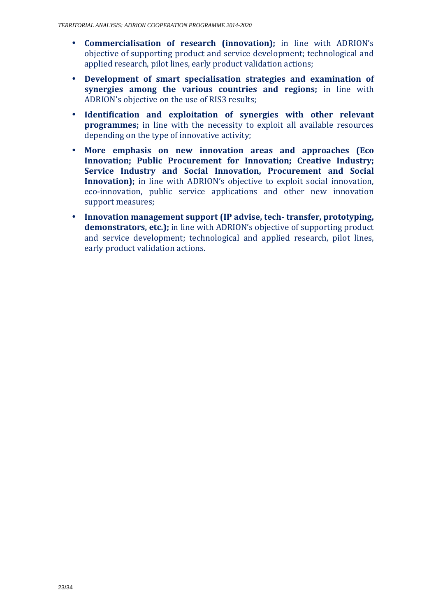- **Commercialisation of research (innovation);** in line with ADRION's objective of supporting product and service development; technological and applied research, pilot lines, early product validation actions;
- **Development of smart specialisation strategies and examination of synergies among the various countries and regions;** in line with ADRION's objective on the use of RIS3 results;
- **Identification and exploitation of synergies with other relevant programmes:** in line with the necessity to exploit all available resources depending on the type of innovative activity;
- **More emphasis on new innovation areas and approaches (Eco Innovation; Public Procurement for Innovation; Creative Industry; Service Industry and Social Innovation, Procurement and Social Innovation);** in line with ADRION's objective to exploit social innovation, eco-innovation, public service applications and other new innovation support measures;
- **Innovation management support (IP advise, tech- transfer, prototyping, demonstrators, etc.);** in line with ADRION's objective of supporting product and service development; technological and applied research, pilot lines, early product validation actions.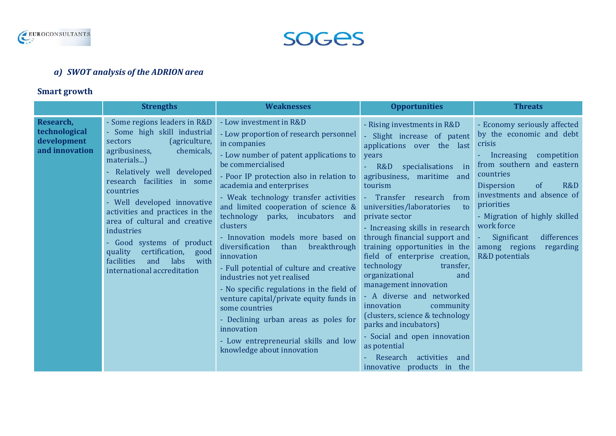



#### *a) SWOT analysis of the ADRION area*

#### **Smart growth**

|                                                             | <b>Strengths</b>                                                                                                                                                                                                                                                                                                                                                                                                                                                       | <b>Weaknesses</b>                                                                                                                                                                                                                                                                                                                                                                                                                                                                                                                                                                                                                                                                                                                                                                                 | <b>Opportunities</b>                                                                                                                                                                                                                                                                                                                                                                                                                                                                                                                                                                                                                                                                           | <b>Threats</b>                                                                                                                                                                                                                                                                                                                                                  |
|-------------------------------------------------------------|------------------------------------------------------------------------------------------------------------------------------------------------------------------------------------------------------------------------------------------------------------------------------------------------------------------------------------------------------------------------------------------------------------------------------------------------------------------------|---------------------------------------------------------------------------------------------------------------------------------------------------------------------------------------------------------------------------------------------------------------------------------------------------------------------------------------------------------------------------------------------------------------------------------------------------------------------------------------------------------------------------------------------------------------------------------------------------------------------------------------------------------------------------------------------------------------------------------------------------------------------------------------------------|------------------------------------------------------------------------------------------------------------------------------------------------------------------------------------------------------------------------------------------------------------------------------------------------------------------------------------------------------------------------------------------------------------------------------------------------------------------------------------------------------------------------------------------------------------------------------------------------------------------------------------------------------------------------------------------------|-----------------------------------------------------------------------------------------------------------------------------------------------------------------------------------------------------------------------------------------------------------------------------------------------------------------------------------------------------------------|
| Research,<br>technological<br>development<br>and innovation | - Some regions leaders in R&D<br>Some high skill industrial<br>(agriculture,<br>sectors<br>chemicals,<br>agribusiness,<br>materials)<br>- Relatively well developed<br>research facilities in some<br>countries<br>- Well developed innovative<br>activities and practices in the<br>area of cultural and creative<br>industries<br>- Good systems of product<br>certification,<br>quality<br>good<br>labs<br>facilities<br>and<br>with<br>international accreditation | - Low investment in R&D<br>- Low proportion of research personnel<br>in companies<br>- Low number of patent applications to<br>be commercialised<br>- Poor IP protection also in relation to<br>academia and enterprises<br>- Weak technology transfer activities - Transfer research from<br>and limited cooperation of science &<br>technology parks, incubators and<br>clusters<br>- Innovation models more based on<br>diversification<br>than<br>breakthrough<br>innovation<br>- Full potential of culture and creative<br>industries not yet realised<br>- No specific regulations in the field of<br>venture capital/private equity funds in<br>some countries<br>- Declining urban areas as poles for<br>innovation<br>- Low entrepreneurial skills and low<br>knowledge about innovation | - Rising investments in R&D<br>Slight increase of patent<br>applications over the last<br>years<br>specialisations<br>R&D<br>$\mathbf{in}$<br>agribusiness, maritime and<br>tourism<br>universities/laboratories<br>to<br>private sector<br>- Increasing skills in research<br>through financial support and<br>training opportunities in the<br>field of enterprise creation,<br>technology<br>transfer,<br>organizational<br>and<br>management innovation<br>- A diverse and networked<br>innovation<br>community<br>(clusters, science & technology<br>parks and incubators)<br>- Social and open innovation<br>as potential<br>Research<br>activities<br>and<br>innovative products in the | - Economy seriously affected<br>by the economic and debt<br>crisis<br>Increasing<br>competition<br>from southern and eastern<br>countries<br>R&D<br><b>Dispersion</b><br><sub>of</sub><br>investments and absence of<br>priorities<br>- Migration of highly skilled<br>work force<br>Significant<br>differences<br>among regions<br>regarding<br>R&D potentials |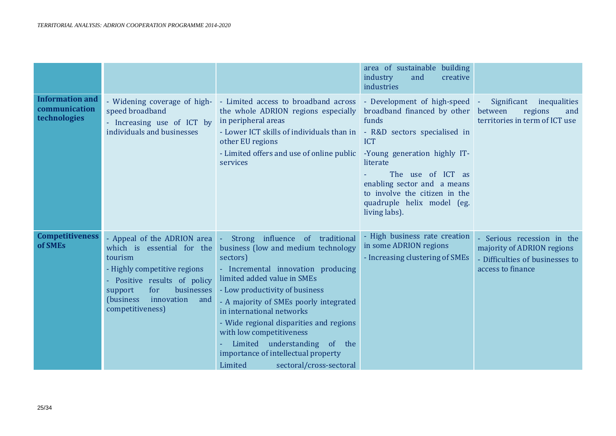|                                                         |                                                                                                                                                                                                                                 |                                                                                                                                                                                                                                                                                                                                                                                                                                                           | area of sustainable building<br>industry<br>and<br>creative<br>industries                                                                                                                                                                                                                           |                                                                                                                |
|---------------------------------------------------------|---------------------------------------------------------------------------------------------------------------------------------------------------------------------------------------------------------------------------------|-----------------------------------------------------------------------------------------------------------------------------------------------------------------------------------------------------------------------------------------------------------------------------------------------------------------------------------------------------------------------------------------------------------------------------------------------------------|-----------------------------------------------------------------------------------------------------------------------------------------------------------------------------------------------------------------------------------------------------------------------------------------------------|----------------------------------------------------------------------------------------------------------------|
| <b>Information and</b><br>communication<br>technologies | - Widening coverage of high-<br>speed broadband<br>- Increasing use of ICT by<br>individuals and businesses                                                                                                                     | - Limited access to broadband across<br>the whole ADRION regions especially<br>in peripheral areas<br>- Lower ICT skills of individuals than in<br>other EU regions<br>- Limited offers and use of online public<br>services                                                                                                                                                                                                                              | - Development of high-speed -<br>broadband financed by other<br>funds<br>- R&D sectors specialised in<br><b>ICT</b><br>-Young generation highly IT-<br>literate<br>The use of ICT as<br>enabling sector and a means<br>to involve the citizen in the<br>quadruple helix model (eg.<br>living labs). | Significant inequalities<br>regions<br>between<br>and<br>territories in term of ICT use                        |
| <b>Competitiveness</b><br>of SMEs                       | - Appeal of the ADRION area   -<br>which is essential for the<br>tourism<br>- Highly competitive regions<br>- Positive results of policy<br>businesses<br>for<br>support<br>(business)<br>innovation<br>and<br>competitiveness) | Strong influence of traditional<br>business (low and medium technology<br>sectors)<br>- Incremental innovation producing<br>limited added value in SMEs<br>- Low productivity of business<br>- A majority of SMEs poorly integrated<br>in international networks<br>- Wide regional disparities and regions<br>with low competitiveness<br>Limited understanding of the<br>÷<br>importance of intellectual property<br>Limited<br>sectoral/cross-sectoral | - High business rate creation<br>in some ADRION regions<br>- Increasing clustering of SMEs                                                                                                                                                                                                          | Serious recession in the<br>majority of ADRION regions<br>- Difficulties of businesses to<br>access to finance |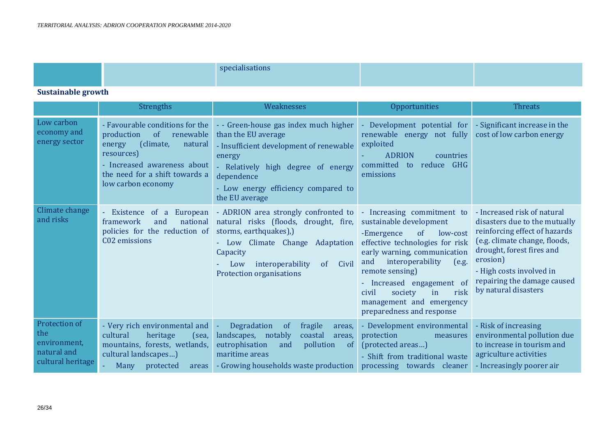|                           |  | specialisations |  |  |
|---------------------------|--|-----------------|--|--|
| <b>Sustainable growth</b> |  |                 |  |  |

|                                                                          | <b>Strengths</b>                                                                                                                                                                                                   | Weaknesses                                                                                                                                                                                                                                        | Opportunities                                                                                                                                                                                                                                                                                                                           | <b>Threats</b>                                                                                                                                                                                                                                             |
|--------------------------------------------------------------------------|--------------------------------------------------------------------------------------------------------------------------------------------------------------------------------------------------------------------|---------------------------------------------------------------------------------------------------------------------------------------------------------------------------------------------------------------------------------------------------|-----------------------------------------------------------------------------------------------------------------------------------------------------------------------------------------------------------------------------------------------------------------------------------------------------------------------------------------|------------------------------------------------------------------------------------------------------------------------------------------------------------------------------------------------------------------------------------------------------------|
| Low carbon<br>economy and<br>energy sector                               | - Favourable conditions for the<br>production<br>renewable<br><sub>of</sub><br>(climate,<br>energy<br>natural<br>resources)<br>- Increased awareness about<br>the need for a shift towards a<br>low carbon economy | - - Green-house gas index much higher<br>than the EU average<br>- Insufficient development of renewable<br>energy<br>- Relatively high degree of energy<br>dependence<br>- Low energy efficiency compared to<br>the EU average                    | - Development potential for<br>renewable energy not fully<br>exploited<br><b>ADRION</b><br>countries<br>committed to reduce GHG<br>emissions                                                                                                                                                                                            | - Significant increase in the<br>cost of low carbon energy                                                                                                                                                                                                 |
| Climate change<br>and risks                                              | European<br>Existence of a<br>national<br>framework<br>and<br>policies for the reduction of<br>C02 emissions                                                                                                       | - ADRION area strongly confronted to<br>natural risks (floods, drought, fire,<br>storms, earthquakes),)<br>- Low Climate Change Adaptation<br>Capacity<br>Civil<br>interoperability<br>of<br>Low<br>Protection organisations                      | - Increasing commitment to<br>sustainable development<br>-Emergence<br>of<br>low-cost<br>effective technologies for risk<br>early warning, communication<br>interoperability<br>and<br>(e.g.<br>remote sensing)<br>- Increased engagement of<br>risk<br>civil<br>society<br>in<br>management and emergency<br>preparedness and response | - Increased risk of natural<br>disasters due to the mutually<br>reinforcing effect of hazards<br>(e.g. climate change, floods,<br>drought, forest fires and<br>erosion)<br>- High costs involved in<br>repairing the damage caused<br>by natural disasters |
| Protection of<br>the<br>environment,<br>natural and<br>cultural heritage | - Very rich environmental and<br>cultural<br>heritage<br>(sea,<br>mountains, forests, wetlands,<br>cultural landscapes)<br>Many<br>protected                                                                       | Degradation<br>fragile<br>of<br>$\omega$<br>areas,<br>landscapes, notably<br>coastal<br>areas.<br>eutrophisation<br>pollution<br>and<br><sub>of</sub><br>maritime areas<br>areas - Growing households waste production processing towards cleaner | - Development environmental<br>protection<br>measures<br>(protected areas)<br>- Shift from traditional waste                                                                                                                                                                                                                            | - Risk of increasing<br>environmental pollution due<br>to increase in tourism and<br>agriculture activities<br>- Increasingly poorer air                                                                                                                   |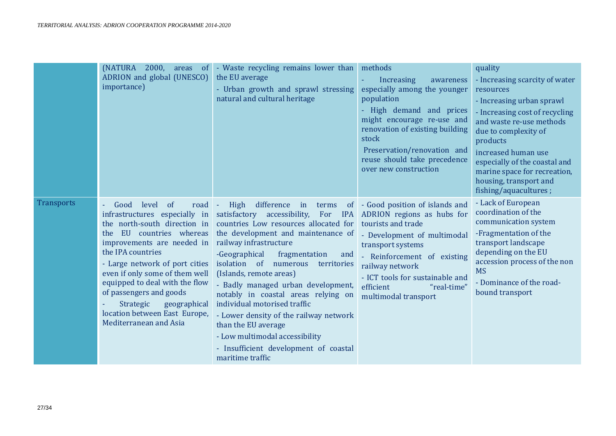|                   | (NATURA 2000,<br>areas<br>of of<br>ADRION and global (UNESCO)<br>importance)                                                                                                                                                                                                                                                                                                                                    | - Waste recycling remains lower than<br>the EU average<br>- Urban growth and sprawl stressing<br>natural and cultural heritage                                                                                                                                                                                                                                                                                                                                                                                                                                                             | methods<br>Increasing<br>awareness<br>especially among the younger<br>population<br>- High demand and prices<br>might encourage re-use and<br>renovation of existing building<br>stock<br>Preservation/renovation and<br>reuse should take precedence<br>over new construction  | quality<br>- Increasing scarcity of water<br>resources<br>- Increasing urban sprawl<br>- Increasing cost of recycling<br>and waste re-use methods<br>due to complexity of<br>products<br>increased human use<br>especially of the coastal and<br>marine space for recreation,<br>housing, transport and<br>fishing/aquacultures; |
|-------------------|-----------------------------------------------------------------------------------------------------------------------------------------------------------------------------------------------------------------------------------------------------------------------------------------------------------------------------------------------------------------------------------------------------------------|--------------------------------------------------------------------------------------------------------------------------------------------------------------------------------------------------------------------------------------------------------------------------------------------------------------------------------------------------------------------------------------------------------------------------------------------------------------------------------------------------------------------------------------------------------------------------------------------|---------------------------------------------------------------------------------------------------------------------------------------------------------------------------------------------------------------------------------------------------------------------------------|----------------------------------------------------------------------------------------------------------------------------------------------------------------------------------------------------------------------------------------------------------------------------------------------------------------------------------|
| <b>Transports</b> | Good<br>level<br><sub>of</sub><br>road<br>infrastructures especially in<br>the north-south direction in<br>the EU countries whereas<br>improvements are needed in<br>the IPA countries<br>- Large network of port cities<br>even if only some of them well<br>equipped to deal with the flow<br>of passengers and goods<br>Strategic<br>geographical<br>location between East Europe,<br>Mediterranean and Asia | difference in<br>High<br>terms<br>of<br>satisfactory accessibility,<br>For<br><b>IPA</b><br>countries Low resources allocated for<br>the development and maintenance of<br>railway infrastructure<br>-Geographical<br>fragmentation<br>and<br>isolation of numerous<br>territories<br>(Islands, remote areas)<br>- Badly managed urban development,<br>notably in coastal areas relying on<br>individual motorised traffic<br>- Lower density of the railway network<br>than the EU average<br>- Low multimodal accessibility<br>- Insufficient development of coastal<br>maritime traffic | - Good position of islands and<br>ADRION regions as hubs for<br>tourists and trade<br>- Development of multimodal<br>transport systems<br>- Reinforcement of existing<br>railway network<br>- ICT tools for sustainable and<br>efficient<br>"real-time"<br>multimodal transport | - Lack of European<br>coordination of the<br>communication system<br>-Fragmentation of the<br>transport landscape<br>depending on the EU<br>accession process of the non<br><b>MS</b><br>- Dominance of the road-<br>bound transport                                                                                             |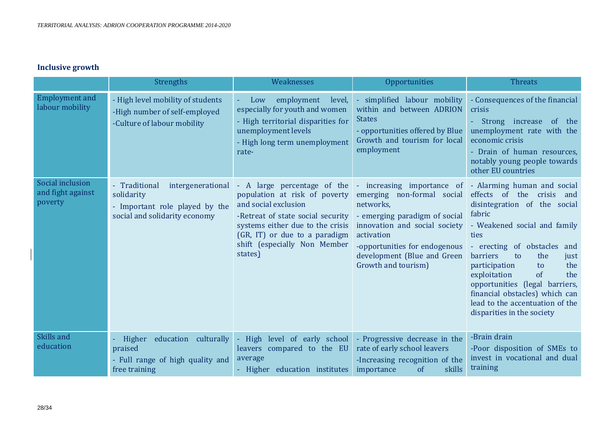#### **Inclusive growth**

|                                                  | <b>Strengths</b>                                                                                                    | Weaknesses                                                                                                                                                                                                                                                              | Opportunities                                                                                                                                                                                                                           | <b>Threats</b>                                                                                                                                                                                                                                                                                                                                                                 |
|--------------------------------------------------|---------------------------------------------------------------------------------------------------------------------|-------------------------------------------------------------------------------------------------------------------------------------------------------------------------------------------------------------------------------------------------------------------------|-----------------------------------------------------------------------------------------------------------------------------------------------------------------------------------------------------------------------------------------|--------------------------------------------------------------------------------------------------------------------------------------------------------------------------------------------------------------------------------------------------------------------------------------------------------------------------------------------------------------------------------|
| <b>Employment</b> and<br>labour mobility         | - High level mobility of students<br>-High number of self-employed<br>-Culture of labour mobility                   | employment<br>level,<br>Low<br>especially for youth and women<br>- High territorial disparities for<br>unemployment levels<br>- High long term unemployment<br>rate-                                                                                                    | - simplified labour mobility<br>within and between ADRION<br><b>States</b><br>- opportunities offered by Blue<br>Growth and tourism for local<br>employment                                                                             | - Consequences of the financial<br>crisis<br>- Strong increase of the<br>unemployment rate with the<br>economic crisis<br>- Drain of human resources,<br>notably young people towards<br>other EU countries                                                                                                                                                                    |
| Social inclusion<br>and fight against<br>poverty | - Traditional<br>intergenerational<br>solidarity<br>- Important role played by the<br>social and solidarity economy | - A large percentage of the<br>population at risk of poverty<br>and social exclusion<br>-Retreat of state social security - emerging paradigm of social<br>systems either due to the crisis<br>(GR, IT) or due to a paradigm<br>shift (especially Non Member<br>states) | - increasing importance of - Alarming human and social<br>emerging non-formal social<br>networks,<br>innovation and social society<br>activation<br>-opportunities for endogenous<br>development (Blue and Green<br>Growth and tourism) | effects of the crisis and<br>disintegration of the social<br>fabric<br>- Weakened social and family<br>ties<br>- erecting of obstacles<br>and<br>barriers<br>to<br>the<br>just<br>participation<br>the<br>to<br>exploitation<br>of<br>the<br>opportunities (legal barriers,<br>financial obstacles) which can<br>lead to the accentuation of the<br>disparities in the society |
| Skills and<br>education                          | Higher education culturally<br>praised<br>- Full range of high quality and<br>free training                         | - High level of early school<br>leavers compared to the EU<br>average<br>- Higher education institutes                                                                                                                                                                  | - Progressive decrease in the<br>rate of early school leavers<br>-Increasing recognition of the<br>skills<br>importance<br>of                                                                                                           | -Brain drain<br>-Poor disposition of SMEs to<br>invest in vocational and dual<br>training                                                                                                                                                                                                                                                                                      |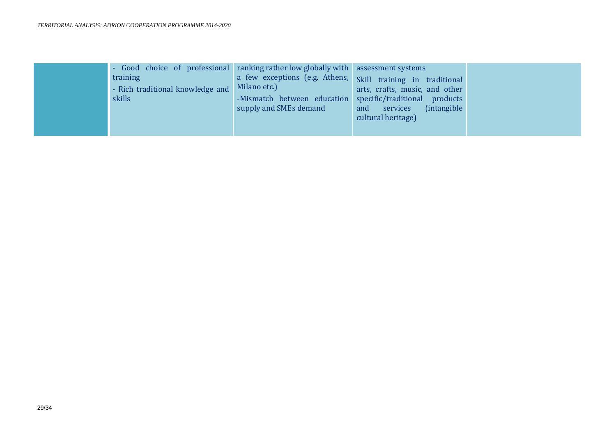| training<br>- Rich traditional knowledge and<br>skills | Good choice of professional ranking rather low globally with assessment systems<br>a few exceptions (e.g. Athens, Skill training in traditional<br>Milano etc.)<br>-Mismatch between education specific/traditional products<br>supply and SMEs demand | arts, crafts, music, and other<br>(intangible<br>services<br>and<br>cultural heritage) |  |
|--------------------------------------------------------|--------------------------------------------------------------------------------------------------------------------------------------------------------------------------------------------------------------------------------------------------------|----------------------------------------------------------------------------------------|--|
|--------------------------------------------------------|--------------------------------------------------------------------------------------------------------------------------------------------------------------------------------------------------------------------------------------------------------|----------------------------------------------------------------------------------------|--|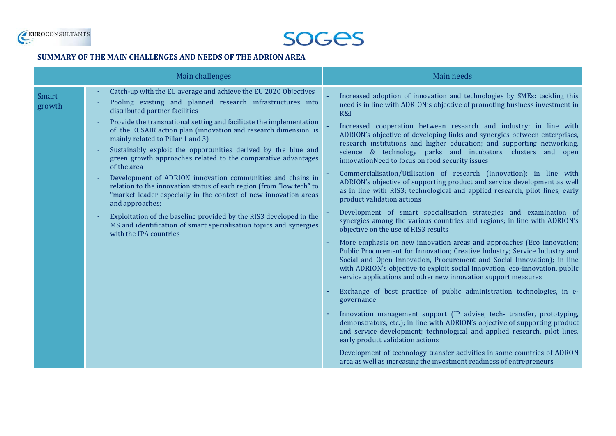

## **SOGES**

#### **SUMMARY OF THE MAIN CHALLENGES AND NEEDS OF THE ADRION AREA**

|                        | <b>Main challenges</b>                                                                                                                                                                                                                                                                                                                                                                                                                                                                                                                                                                                                                                                                                                                                                                                                                                                                             | Main needs                                                                                                                                                                                                                                                                                                                                                                                                                                                                                                                                                                                                                                                                                                                                                                                                                                                                                                                                                                                                                                                                                                                                                                                                                                                                                                                                                                                                                                                                                                                                                                                                                                                                                                                                                                                                                                                                         |
|------------------------|----------------------------------------------------------------------------------------------------------------------------------------------------------------------------------------------------------------------------------------------------------------------------------------------------------------------------------------------------------------------------------------------------------------------------------------------------------------------------------------------------------------------------------------------------------------------------------------------------------------------------------------------------------------------------------------------------------------------------------------------------------------------------------------------------------------------------------------------------------------------------------------------------|------------------------------------------------------------------------------------------------------------------------------------------------------------------------------------------------------------------------------------------------------------------------------------------------------------------------------------------------------------------------------------------------------------------------------------------------------------------------------------------------------------------------------------------------------------------------------------------------------------------------------------------------------------------------------------------------------------------------------------------------------------------------------------------------------------------------------------------------------------------------------------------------------------------------------------------------------------------------------------------------------------------------------------------------------------------------------------------------------------------------------------------------------------------------------------------------------------------------------------------------------------------------------------------------------------------------------------------------------------------------------------------------------------------------------------------------------------------------------------------------------------------------------------------------------------------------------------------------------------------------------------------------------------------------------------------------------------------------------------------------------------------------------------------------------------------------------------------------------------------------------------|
| <b>Smart</b><br>growth | Catch-up with the EU average and achieve the EU 2020 Objectives<br>Pooling existing and planned research infrastructures into<br>distributed partner facilities<br>Provide the transnational setting and facilitate the implementation<br>of the EUSAIR action plan (innovation and research dimension is<br>mainly related to Pillar 1 and 3)<br>Sustainably exploit the opportunities derived by the blue and<br>green growth approaches related to the comparative advantages<br>of the area<br>Development of ADRION innovation communities and chains in<br>relation to the innovation status of each region (from "low tech" to<br>"market leader especially in the context of new innovation areas<br>and approaches;<br>Exploitation of the baseline provided by the RIS3 developed in the<br>MS and identification of smart specialisation topics and synergies<br>with the IPA countries | Increased adoption of innovation and technologies by SMEs: tackling this<br>need is in line with ADRION's objective of promoting business investment in<br>R&I<br>Increased cooperation between research and industry; in line with<br>ADRION's objective of developing links and synergies between enterprises,<br>research institutions and higher education; and supporting networking,<br>science & technology parks and incubators, clusters and open<br>innovationNeed to focus on food security issues<br>Commercialisation/Utilisation of research (innovation); in line with<br>ADRION's objective of supporting product and service development as well<br>as in line with RIS3; technological and applied research, pilot lines, early<br>product validation actions<br>Development of smart specialisation strategies and examination of<br>synergies among the various countries and regions; in line with ADRION's<br>objective on the use of RIS3 results<br>More emphasis on new innovation areas and approaches (Eco Innovation;<br>Public Procurement for Innovation; Creative Industry; Service Industry and<br>Social and Open Innovation, Procurement and Social Innovation); in line<br>with ADRION's objective to exploit social innovation, eco-innovation, public<br>service applications and other new innovation support measures<br>Exchange of best practice of public administration technologies, in e-<br>governance<br>Innovation management support (IP advise, tech- transfer, prototyping,<br>demonstrators, etc.); in line with ADRION's objective of supporting product<br>and service development; technological and applied research, pilot lines,<br>early product validation actions<br>Development of technology transfer activities in some countries of ADRON<br>area as well as increasing the investment readiness of entrepreneurs |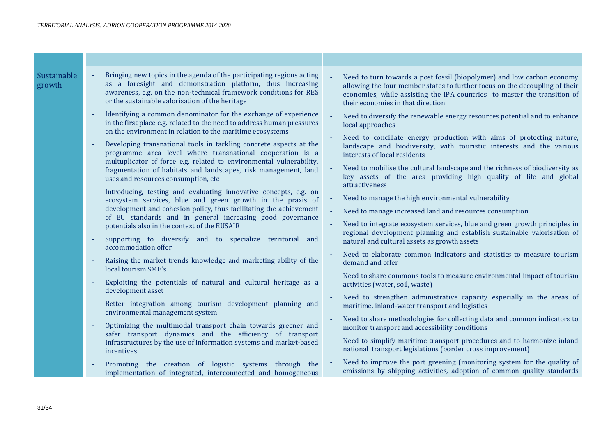| Sustainable<br>growth                                                                                               | Bringing new topics in the agenda of the participating regions acting<br>as a foresight and demonstration platform, thus increasing<br>awareness, e.g. on the non-technical framework conditions for RES<br>or the sustainable valorisation of the heritage<br>Identifying a common denominator for the exchange of experience<br>in the first place e.g. related to the need to address human pressures<br>on the environment in relation to the maritime ecosystems<br>Developing transnational tools in tackling concrete aspects at the<br>programme area level where transnational cooperation is a<br>multuplicator of force e.g. related to environmental vulnerability,<br>fragmentation of habitats and landscapes, risk management, land<br>uses and resources consumption, etc<br>Introducing, testing and evaluating innovative concepts, e.g. on<br>ecosystem services, blue and green growth in the praxis of<br>development and cohesion policy, thus facilitating the achievement<br>of EU standards and in general increasing good governance<br>potentials also in the context of the EUSAIR<br>Supporting to diversify and to specialize territorial and<br>accommodation offer<br>Raising the market trends knowledge and marketing ability of the<br>local tourism SME's<br>Exploiting the potentials of natural and cultural heritage as a<br>development asset<br>Better integration among tourism development planning and | Need to turn towards a post fossil (biopolymer) and low carbon economy<br>allowing the four member states to further focus on the decoupling of their<br>economies, while assisting the IPA countries to master the transition of<br>their economies in that direction<br>Need to diversify the renewable energy resources potential and to enhance<br>local approaches<br>Need to conciliate energy production with aims of protecting nature,<br>landscape and biodiversity, with touristic interests and the various<br>interests of local residents<br>Need to mobilise the cultural landscape and the richness of biodiversity as<br>key assets of the area providing high quality of life and global<br>attractiveness<br>Need to manage the high environmental vulnerability<br>Need to manage increased land and resources consumption<br>Need to integrate ecosystem services, blue and green growth principles in<br>regional development planning and establish sustainable valorisation of<br>natural and cultural assets as growth assets<br>Need to elaborate common indicators and statistics to measure tourism<br>demand and offer<br>Need to share commons tools to measure environmental impact of tourism<br>activities (water, soil, waste)<br>Need to strengthen administrative capacity especially in the areas of<br>maritime, inland-water transport and logistics |
|---------------------------------------------------------------------------------------------------------------------|----------------------------------------------------------------------------------------------------------------------------------------------------------------------------------------------------------------------------------------------------------------------------------------------------------------------------------------------------------------------------------------------------------------------------------------------------------------------------------------------------------------------------------------------------------------------------------------------------------------------------------------------------------------------------------------------------------------------------------------------------------------------------------------------------------------------------------------------------------------------------------------------------------------------------------------------------------------------------------------------------------------------------------------------------------------------------------------------------------------------------------------------------------------------------------------------------------------------------------------------------------------------------------------------------------------------------------------------------------------------------------------------------------------------------------------------------|---------------------------------------------------------------------------------------------------------------------------------------------------------------------------------------------------------------------------------------------------------------------------------------------------------------------------------------------------------------------------------------------------------------------------------------------------------------------------------------------------------------------------------------------------------------------------------------------------------------------------------------------------------------------------------------------------------------------------------------------------------------------------------------------------------------------------------------------------------------------------------------------------------------------------------------------------------------------------------------------------------------------------------------------------------------------------------------------------------------------------------------------------------------------------------------------------------------------------------------------------------------------------------------------------------------------------------------------------------------------------------------------|
| environmental management system<br>Infrastructures by the use of information systems and market-based<br>incentives |                                                                                                                                                                                                                                                                                                                                                                                                                                                                                                                                                                                                                                                                                                                                                                                                                                                                                                                                                                                                                                                                                                                                                                                                                                                                                                                                                                                                                                                    |                                                                                                                                                                                                                                                                                                                                                                                                                                                                                                                                                                                                                                                                                                                                                                                                                                                                                                                                                                                                                                                                                                                                                                                                                                                                                                                                                                                             |
|                                                                                                                     | Optimizing the multimodal transport chain towards greener and<br>safer transport dynamics and the efficiency of transport                                                                                                                                                                                                                                                                                                                                                                                                                                                                                                                                                                                                                                                                                                                                                                                                                                                                                                                                                                                                                                                                                                                                                                                                                                                                                                                          | Need to share methodologies for collecting data and common indicators to<br>monitor transport and accessibility conditions<br>Need to simplify maritime transport procedures and to harmonize inland                                                                                                                                                                                                                                                                                                                                                                                                                                                                                                                                                                                                                                                                                                                                                                                                                                                                                                                                                                                                                                                                                                                                                                                        |
|                                                                                                                     |                                                                                                                                                                                                                                                                                                                                                                                                                                                                                                                                                                                                                                                                                                                                                                                                                                                                                                                                                                                                                                                                                                                                                                                                                                                                                                                                                                                                                                                    | national transport legislations (border cross improvement)                                                                                                                                                                                                                                                                                                                                                                                                                                                                                                                                                                                                                                                                                                                                                                                                                                                                                                                                                                                                                                                                                                                                                                                                                                                                                                                                  |
|                                                                                                                     | Promoting the creation of logistic systems through the<br>implementation of integrated, interconnected and homogeneous                                                                                                                                                                                                                                                                                                                                                                                                                                                                                                                                                                                                                                                                                                                                                                                                                                                                                                                                                                                                                                                                                                                                                                                                                                                                                                                             | Need to improve the port greening (monitoring system for the quality of<br>emissions by shipping activities, adoption of common quality standards                                                                                                                                                                                                                                                                                                                                                                                                                                                                                                                                                                                                                                                                                                                                                                                                                                                                                                                                                                                                                                                                                                                                                                                                                                           |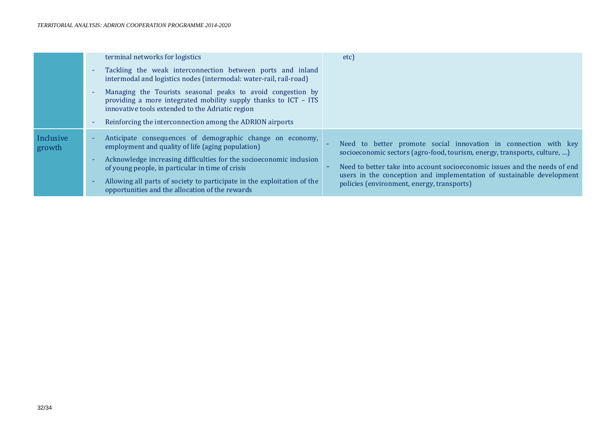|                     | terminal networks for logistics                                                                                                                                                                                                                                                                                                                                         | etc)                                                                                                                                                                                                                                                                                                                                              |
|---------------------|-------------------------------------------------------------------------------------------------------------------------------------------------------------------------------------------------------------------------------------------------------------------------------------------------------------------------------------------------------------------------|---------------------------------------------------------------------------------------------------------------------------------------------------------------------------------------------------------------------------------------------------------------------------------------------------------------------------------------------------|
|                     | Tackling the weak interconnection between ports and inland<br>intermodal and logistics nodes (intermodal: water-rail, rail-road)                                                                                                                                                                                                                                        |                                                                                                                                                                                                                                                                                                                                                   |
|                     | Managing the Tourists seasonal peaks to avoid congestion by<br>providing a more integrated mobility supply thanks to ICT - ITS<br>innovative tools extended to the Adriatic region<br>Reinforcing the interconnection among the ADRION airports                                                                                                                         |                                                                                                                                                                                                                                                                                                                                                   |
| Inclusive<br>growth | Anticipate consequences of demographic change on economy,<br>employment and quality of life (aging population)<br>Acknowledge increasing difficulties for the socioeconomic inclusion<br>of young people, in particular in time of crisis<br>Allowing all parts of society to participate in the exploitation of the<br>opportunities and the allocation of the rewards | Need to better promote social innovation in connection with key<br>socioeconomic sectors (agro-food, tourism, energy, transports, culture, )<br>Need to better take into account socioeconomic issues and the needs of end<br>users in the conception and implementation of sustainable development<br>policies (environment, energy, transports) |